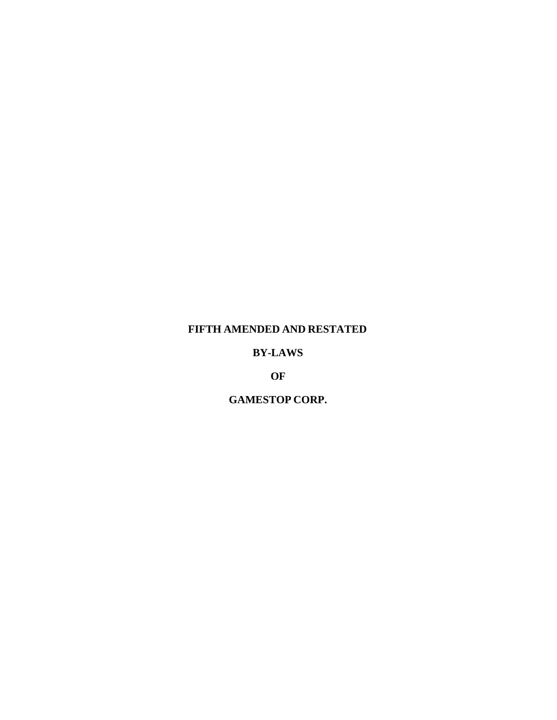## **FIFTH AMENDED AND RESTATED**

## **BY-LAWS**

## **OF**

# **GAMESTOP CORP.**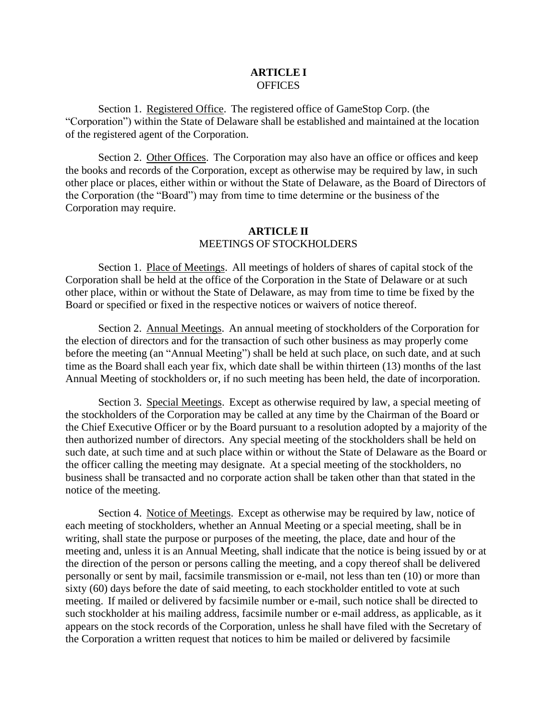### **ARTICLE I OFFICES**

Section 1. Registered Office. The registered office of GameStop Corp. (the "Corporation") within the State of Delaware shall be established and maintained at the location of the registered agent of the Corporation.

Section 2. Other Offices. The Corporation may also have an office or offices and keep the books and records of the Corporation, except as otherwise may be required by law, in such other place or places, either within or without the State of Delaware, as the Board of Directors of the Corporation (the "Board") may from time to time determine or the business of the Corporation may require.

## **ARTICLE II** MEETINGS OF STOCKHOLDERS

Section 1. Place of Meetings. All meetings of holders of shares of capital stock of the Corporation shall be held at the office of the Corporation in the State of Delaware or at such other place, within or without the State of Delaware, as may from time to time be fixed by the Board or specified or fixed in the respective notices or waivers of notice thereof.

Section 2. Annual Meetings. An annual meeting of stockholders of the Corporation for the election of directors and for the transaction of such other business as may properly come before the meeting (an "Annual Meeting") shall be held at such place, on such date, and at such time as the Board shall each year fix, which date shall be within thirteen (13) months of the last Annual Meeting of stockholders or, if no such meeting has been held, the date of incorporation.

Section 3. Special Meetings. Except as otherwise required by law, a special meeting of the stockholders of the Corporation may be called at any time by the Chairman of the Board or the Chief Executive Officer or by the Board pursuant to a resolution adopted by a majority of the then authorized number of directors. Any special meeting of the stockholders shall be held on such date, at such time and at such place within or without the State of Delaware as the Board or the officer calling the meeting may designate. At a special meeting of the stockholders, no business shall be transacted and no corporate action shall be taken other than that stated in the notice of the meeting.

Section 4. Notice of Meetings. Except as otherwise may be required by law, notice of each meeting of stockholders, whether an Annual Meeting or a special meeting, shall be in writing, shall state the purpose or purposes of the meeting, the place, date and hour of the meeting and, unless it is an Annual Meeting, shall indicate that the notice is being issued by or at the direction of the person or persons calling the meeting, and a copy thereof shall be delivered personally or sent by mail, facsimile transmission or e-mail, not less than ten (10) or more than sixty (60) days before the date of said meeting, to each stockholder entitled to vote at such meeting. If mailed or delivered by facsimile number or e-mail, such notice shall be directed to such stockholder at his mailing address, facsimile number or e-mail address, as applicable, as it appears on the stock records of the Corporation, unless he shall have filed with the Secretary of the Corporation a written request that notices to him be mailed or delivered by facsimile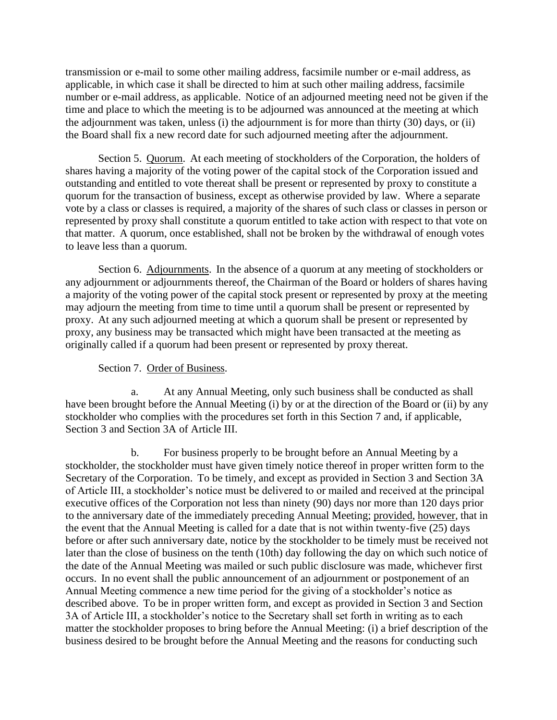transmission or e-mail to some other mailing address, facsimile number or e-mail address, as applicable, in which case it shall be directed to him at such other mailing address, facsimile number or e-mail address, as applicable. Notice of an adjourned meeting need not be given if the time and place to which the meeting is to be adjourned was announced at the meeting at which the adjournment was taken, unless (i) the adjournment is for more than thirty (30) days, or (ii) the Board shall fix a new record date for such adjourned meeting after the adjournment.

Section 5. Quorum. At each meeting of stockholders of the Corporation, the holders of shares having a majority of the voting power of the capital stock of the Corporation issued and outstanding and entitled to vote thereat shall be present or represented by proxy to constitute a quorum for the transaction of business, except as otherwise provided by law. Where a separate vote by a class or classes is required, a majority of the shares of such class or classes in person or represented by proxy shall constitute a quorum entitled to take action with respect to that vote on that matter. A quorum, once established, shall not be broken by the withdrawal of enough votes to leave less than a quorum.

Section 6. Adjournments. In the absence of a quorum at any meeting of stockholders or any adjournment or adjournments thereof, the Chairman of the Board or holders of shares having a majority of the voting power of the capital stock present or represented by proxy at the meeting may adjourn the meeting from time to time until a quorum shall be present or represented by proxy. At any such adjourned meeting at which a quorum shall be present or represented by proxy, any business may be transacted which might have been transacted at the meeting as originally called if a quorum had been present or represented by proxy thereat.

## Section 7. Order of Business.

a. At any Annual Meeting, only such business shall be conducted as shall have been brought before the Annual Meeting (i) by or at the direction of the Board or (ii) by any stockholder who complies with the procedures set forth in this Section 7 and, if applicable, Section 3 and Section 3A of Article III.

b. For business properly to be brought before an Annual Meeting by a stockholder, the stockholder must have given timely notice thereof in proper written form to the Secretary of the Corporation. To be timely, and except as provided in Section 3 and Section 3A of Article III, a stockholder's notice must be delivered to or mailed and received at the principal executive offices of the Corporation not less than ninety (90) days nor more than 120 days prior to the anniversary date of the immediately preceding Annual Meeting; provided, however, that in the event that the Annual Meeting is called for a date that is not within twenty-five (25) days before or after such anniversary date, notice by the stockholder to be timely must be received not later than the close of business on the tenth (10th) day following the day on which such notice of the date of the Annual Meeting was mailed or such public disclosure was made, whichever first occurs. In no event shall the public announcement of an adjournment or postponement of an Annual Meeting commence a new time period for the giving of a stockholder's notice as described above. To be in proper written form, and except as provided in Section 3 and Section 3A of Article III, a stockholder's notice to the Secretary shall set forth in writing as to each matter the stockholder proposes to bring before the Annual Meeting: (i) a brief description of the business desired to be brought before the Annual Meeting and the reasons for conducting such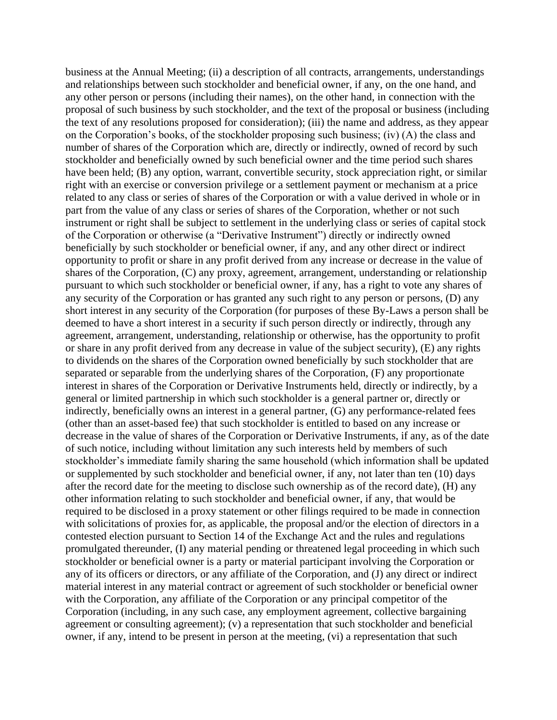business at the Annual Meeting; (ii) a description of all contracts, arrangements, understandings and relationships between such stockholder and beneficial owner, if any, on the one hand, and any other person or persons (including their names), on the other hand, in connection with the proposal of such business by such stockholder, and the text of the proposal or business (including the text of any resolutions proposed for consideration); (iii) the name and address, as they appear on the Corporation's books, of the stockholder proposing such business; (iv) (A) the class and number of shares of the Corporation which are, directly or indirectly, owned of record by such stockholder and beneficially owned by such beneficial owner and the time period such shares have been held; (B) any option, warrant, convertible security, stock appreciation right, or similar right with an exercise or conversion privilege or a settlement payment or mechanism at a price related to any class or series of shares of the Corporation or with a value derived in whole or in part from the value of any class or series of shares of the Corporation, whether or not such instrument or right shall be subject to settlement in the underlying class or series of capital stock of the Corporation or otherwise (a "Derivative Instrument") directly or indirectly owned beneficially by such stockholder or beneficial owner, if any, and any other direct or indirect opportunity to profit or share in any profit derived from any increase or decrease in the value of shares of the Corporation, (C) any proxy, agreement, arrangement, understanding or relationship pursuant to which such stockholder or beneficial owner, if any, has a right to vote any shares of any security of the Corporation or has granted any such right to any person or persons, (D) any short interest in any security of the Corporation (for purposes of these By-Laws a person shall be deemed to have a short interest in a security if such person directly or indirectly, through any agreement, arrangement, understanding, relationship or otherwise, has the opportunity to profit or share in any profit derived from any decrease in value of the subject security), (E) any rights to dividends on the shares of the Corporation owned beneficially by such stockholder that are separated or separable from the underlying shares of the Corporation, (F) any proportionate interest in shares of the Corporation or Derivative Instruments held, directly or indirectly, by a general or limited partnership in which such stockholder is a general partner or, directly or indirectly, beneficially owns an interest in a general partner, (G) any performance-related fees (other than an asset-based fee) that such stockholder is entitled to based on any increase or decrease in the value of shares of the Corporation or Derivative Instruments, if any, as of the date of such notice, including without limitation any such interests held by members of such stockholder's immediate family sharing the same household (which information shall be updated or supplemented by such stockholder and beneficial owner, if any, not later than ten (10) days after the record date for the meeting to disclose such ownership as of the record date), (H) any other information relating to such stockholder and beneficial owner, if any, that would be required to be disclosed in a proxy statement or other filings required to be made in connection with solicitations of proxies for, as applicable, the proposal and/or the election of directors in a contested election pursuant to Section 14 of the Exchange Act and the rules and regulations promulgated thereunder, (I) any material pending or threatened legal proceeding in which such stockholder or beneficial owner is a party or material participant involving the Corporation or any of its officers or directors, or any affiliate of the Corporation, and (J) any direct or indirect material interest in any material contract or agreement of such stockholder or beneficial owner with the Corporation, any affiliate of the Corporation or any principal competitor of the Corporation (including, in any such case, any employment agreement, collective bargaining agreement or consulting agreement); (v) a representation that such stockholder and beneficial owner, if any, intend to be present in person at the meeting, (vi) a representation that such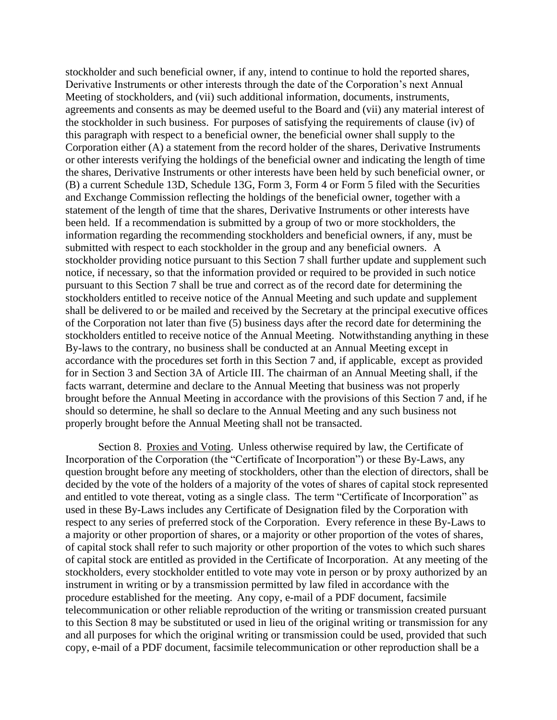stockholder and such beneficial owner, if any, intend to continue to hold the reported shares, Derivative Instruments or other interests through the date of the Corporation's next Annual Meeting of stockholders, and (vii) such additional information, documents, instruments, agreements and consents as may be deemed useful to the Board and (vii) any material interest of the stockholder in such business. For purposes of satisfying the requirements of clause (iv) of this paragraph with respect to a beneficial owner, the beneficial owner shall supply to the Corporation either (A) a statement from the record holder of the shares, Derivative Instruments or other interests verifying the holdings of the beneficial owner and indicating the length of time the shares, Derivative Instruments or other interests have been held by such beneficial owner, or (B) a current Schedule 13D, Schedule 13G, Form 3, Form 4 or Form 5 filed with the Securities and Exchange Commission reflecting the holdings of the beneficial owner, together with a statement of the length of time that the shares, Derivative Instruments or other interests have been held. If a recommendation is submitted by a group of two or more stockholders, the information regarding the recommending stockholders and beneficial owners, if any, must be submitted with respect to each stockholder in the group and any beneficial owners. A stockholder providing notice pursuant to this Section 7 shall further update and supplement such notice, if necessary, so that the information provided or required to be provided in such notice pursuant to this Section 7 shall be true and correct as of the record date for determining the stockholders entitled to receive notice of the Annual Meeting and such update and supplement shall be delivered to or be mailed and received by the Secretary at the principal executive offices of the Corporation not later than five (5) business days after the record date for determining the stockholders entitled to receive notice of the Annual Meeting. Notwithstanding anything in these By-laws to the contrary, no business shall be conducted at an Annual Meeting except in accordance with the procedures set forth in this Section 7 and, if applicable, except as provided for in Section 3 and Section 3A of Article III. The chairman of an Annual Meeting shall, if the facts warrant, determine and declare to the Annual Meeting that business was not properly brought before the Annual Meeting in accordance with the provisions of this Section 7 and, if he should so determine, he shall so declare to the Annual Meeting and any such business not properly brought before the Annual Meeting shall not be transacted.

Section 8. Proxies and Voting. Unless otherwise required by law, the Certificate of Incorporation of the Corporation (the "Certificate of Incorporation") or these By-Laws, any question brought before any meeting of stockholders, other than the election of directors, shall be decided by the vote of the holders of a majority of the votes of shares of capital stock represented and entitled to vote thereat, voting as a single class. The term "Certificate of Incorporation" as used in these By-Laws includes any Certificate of Designation filed by the Corporation with respect to any series of preferred stock of the Corporation. Every reference in these By-Laws to a majority or other proportion of shares, or a majority or other proportion of the votes of shares, of capital stock shall refer to such majority or other proportion of the votes to which such shares of capital stock are entitled as provided in the Certificate of Incorporation. At any meeting of the stockholders, every stockholder entitled to vote may vote in person or by proxy authorized by an instrument in writing or by a transmission permitted by law filed in accordance with the procedure established for the meeting. Any copy, e-mail of a PDF document, facsimile telecommunication or other reliable reproduction of the writing or transmission created pursuant to this Section 8 may be substituted or used in lieu of the original writing or transmission for any and all purposes for which the original writing or transmission could be used, provided that such copy, e-mail of a PDF document, facsimile telecommunication or other reproduction shall be a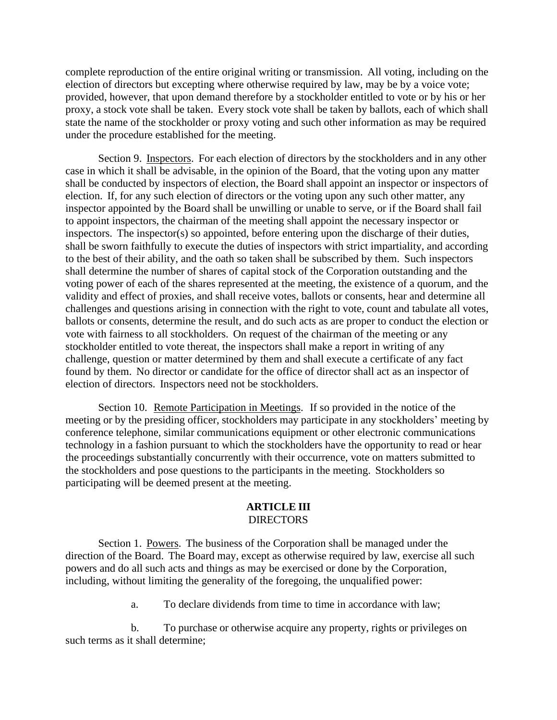complete reproduction of the entire original writing or transmission. All voting, including on the election of directors but excepting where otherwise required by law, may be by a voice vote; provided, however, that upon demand therefore by a stockholder entitled to vote or by his or her proxy, a stock vote shall be taken. Every stock vote shall be taken by ballots, each of which shall state the name of the stockholder or proxy voting and such other information as may be required under the procedure established for the meeting.

Section 9. Inspectors. For each election of directors by the stockholders and in any other case in which it shall be advisable, in the opinion of the Board, that the voting upon any matter shall be conducted by inspectors of election, the Board shall appoint an inspector or inspectors of election. If, for any such election of directors or the voting upon any such other matter, any inspector appointed by the Board shall be unwilling or unable to serve, or if the Board shall fail to appoint inspectors, the chairman of the meeting shall appoint the necessary inspector or inspectors. The inspector(s) so appointed, before entering upon the discharge of their duties, shall be sworn faithfully to execute the duties of inspectors with strict impartiality, and according to the best of their ability, and the oath so taken shall be subscribed by them. Such inspectors shall determine the number of shares of capital stock of the Corporation outstanding and the voting power of each of the shares represented at the meeting, the existence of a quorum, and the validity and effect of proxies, and shall receive votes, ballots or consents, hear and determine all challenges and questions arising in connection with the right to vote, count and tabulate all votes, ballots or consents, determine the result, and do such acts as are proper to conduct the election or vote with fairness to all stockholders. On request of the chairman of the meeting or any stockholder entitled to vote thereat, the inspectors shall make a report in writing of any challenge, question or matter determined by them and shall execute a certificate of any fact found by them. No director or candidate for the office of director shall act as an inspector of election of directors. Inspectors need not be stockholders.

Section 10. Remote Participation in Meetings. If so provided in the notice of the meeting or by the presiding officer, stockholders may participate in any stockholders' meeting by conference telephone, similar communications equipment or other electronic communications technology in a fashion pursuant to which the stockholders have the opportunity to read or hear the proceedings substantially concurrently with their occurrence, vote on matters submitted to the stockholders and pose questions to the participants in the meeting. Stockholders so participating will be deemed present at the meeting.

## **ARTICLE III** DIRECTORS

Section 1. Powers. The business of the Corporation shall be managed under the direction of the Board. The Board may, except as otherwise required by law, exercise all such powers and do all such acts and things as may be exercised or done by the Corporation, including, without limiting the generality of the foregoing, the unqualified power:

a. To declare dividends from time to time in accordance with law;

b. To purchase or otherwise acquire any property, rights or privileges on such terms as it shall determine;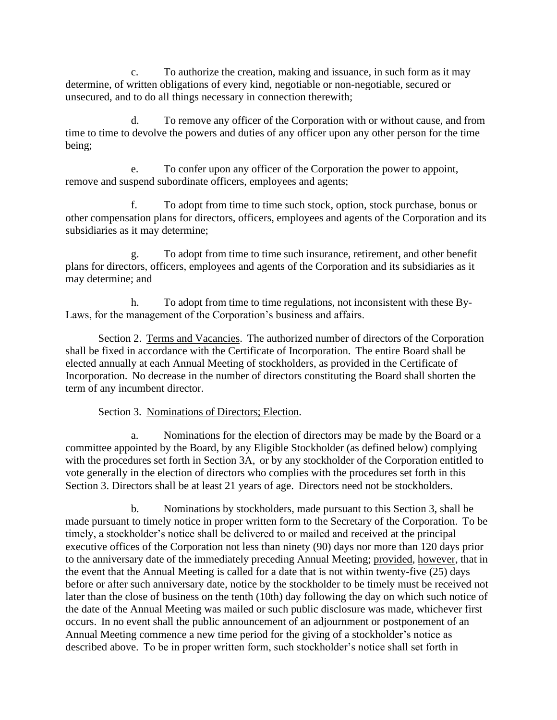c. To authorize the creation, making and issuance, in such form as it may determine, of written obligations of every kind, negotiable or non-negotiable, secured or unsecured, and to do all things necessary in connection therewith;

d. To remove any officer of the Corporation with or without cause, and from time to time to devolve the powers and duties of any officer upon any other person for the time being;

e. To confer upon any officer of the Corporation the power to appoint, remove and suspend subordinate officers, employees and agents;

f. To adopt from time to time such stock, option, stock purchase, bonus or other compensation plans for directors, officers, employees and agents of the Corporation and its subsidiaries as it may determine;

g. To adopt from time to time such insurance, retirement, and other benefit plans for directors, officers, employees and agents of the Corporation and its subsidiaries as it may determine; and

h. To adopt from time to time regulations, not inconsistent with these By-Laws, for the management of the Corporation's business and affairs.

Section 2. Terms and Vacancies. The authorized number of directors of the Corporation shall be fixed in accordance with the Certificate of Incorporation. The entire Board shall be elected annually at each Annual Meeting of stockholders, as provided in the Certificate of Incorporation. No decrease in the number of directors constituting the Board shall shorten the term of any incumbent director.

## Section 3. Nominations of Directors; Election.

a. Nominations for the election of directors may be made by the Board or a committee appointed by the Board, by any Eligible Stockholder (as defined below) complying with the procedures set forth in Section 3A, or by any stockholder of the Corporation entitled to vote generally in the election of directors who complies with the procedures set forth in this Section 3. Directors shall be at least 21 years of age. Directors need not be stockholders.

b. Nominations by stockholders, made pursuant to this Section 3, shall be made pursuant to timely notice in proper written form to the Secretary of the Corporation. To be timely, a stockholder's notice shall be delivered to or mailed and received at the principal executive offices of the Corporation not less than ninety (90) days nor more than 120 days prior to the anniversary date of the immediately preceding Annual Meeting; provided, however, that in the event that the Annual Meeting is called for a date that is not within twenty-five (25) days before or after such anniversary date, notice by the stockholder to be timely must be received not later than the close of business on the tenth (10th) day following the day on which such notice of the date of the Annual Meeting was mailed or such public disclosure was made, whichever first occurs. In no event shall the public announcement of an adjournment or postponement of an Annual Meeting commence a new time period for the giving of a stockholder's notice as described above. To be in proper written form, such stockholder's notice shall set forth in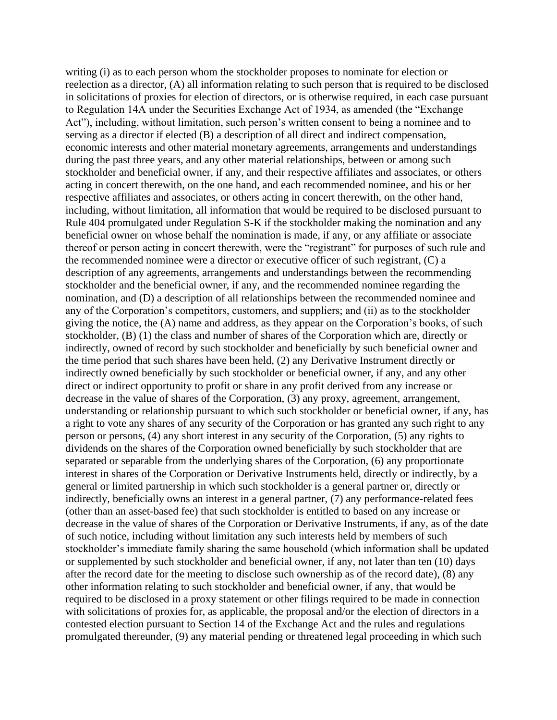writing (i) as to each person whom the stockholder proposes to nominate for election or reelection as a director, (A) all information relating to such person that is required to be disclosed in solicitations of proxies for election of directors, or is otherwise required, in each case pursuant to Regulation 14A under the Securities Exchange Act of 1934, as amended (the "Exchange Act"), including, without limitation, such person's written consent to being a nominee and to serving as a director if elected (B) a description of all direct and indirect compensation, economic interests and other material monetary agreements, arrangements and understandings during the past three years, and any other material relationships, between or among such stockholder and beneficial owner, if any, and their respective affiliates and associates, or others acting in concert therewith, on the one hand, and each recommended nominee, and his or her respective affiliates and associates, or others acting in concert therewith, on the other hand, including, without limitation, all information that would be required to be disclosed pursuant to Rule 404 promulgated under Regulation S-K if the stockholder making the nomination and any beneficial owner on whose behalf the nomination is made, if any, or any affiliate or associate thereof or person acting in concert therewith, were the "registrant" for purposes of such rule and the recommended nominee were a director or executive officer of such registrant, (C) a description of any agreements, arrangements and understandings between the recommending stockholder and the beneficial owner, if any, and the recommended nominee regarding the nomination, and (D) a description of all relationships between the recommended nominee and any of the Corporation's competitors, customers, and suppliers; and (ii) as to the stockholder giving the notice, the (A) name and address, as they appear on the Corporation's books, of such stockholder, (B) (1) the class and number of shares of the Corporation which are, directly or indirectly, owned of record by such stockholder and beneficially by such beneficial owner and the time period that such shares have been held, (2) any Derivative Instrument directly or indirectly owned beneficially by such stockholder or beneficial owner, if any, and any other direct or indirect opportunity to profit or share in any profit derived from any increase or decrease in the value of shares of the Corporation, (3) any proxy, agreement, arrangement, understanding or relationship pursuant to which such stockholder or beneficial owner, if any, has a right to vote any shares of any security of the Corporation or has granted any such right to any person or persons, (4) any short interest in any security of the Corporation, (5) any rights to dividends on the shares of the Corporation owned beneficially by such stockholder that are separated or separable from the underlying shares of the Corporation, (6) any proportionate interest in shares of the Corporation or Derivative Instruments held, directly or indirectly, by a general or limited partnership in which such stockholder is a general partner or, directly or indirectly, beneficially owns an interest in a general partner, (7) any performance-related fees (other than an asset-based fee) that such stockholder is entitled to based on any increase or decrease in the value of shares of the Corporation or Derivative Instruments, if any, as of the date of such notice, including without limitation any such interests held by members of such stockholder's immediate family sharing the same household (which information shall be updated or supplemented by such stockholder and beneficial owner, if any, not later than ten (10) days after the record date for the meeting to disclose such ownership as of the record date), (8) any other information relating to such stockholder and beneficial owner, if any, that would be required to be disclosed in a proxy statement or other filings required to be made in connection with solicitations of proxies for, as applicable, the proposal and/or the election of directors in a contested election pursuant to Section 14 of the Exchange Act and the rules and regulations promulgated thereunder, (9) any material pending or threatened legal proceeding in which such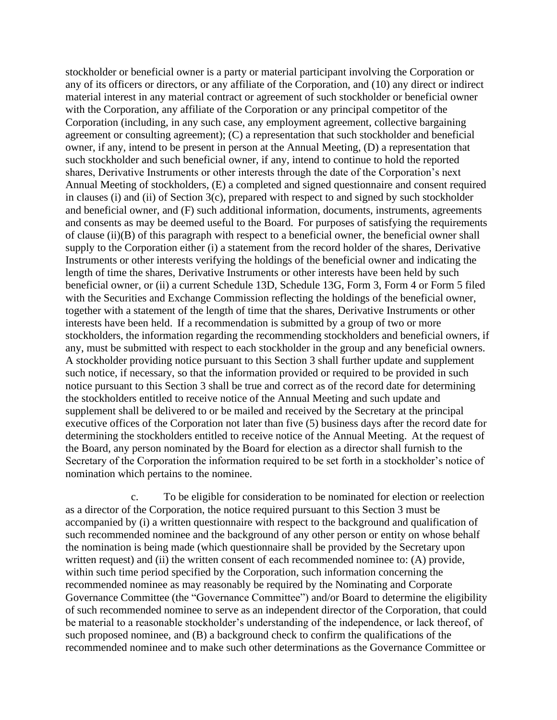stockholder or beneficial owner is a party or material participant involving the Corporation or any of its officers or directors, or any affiliate of the Corporation, and (10) any direct or indirect material interest in any material contract or agreement of such stockholder or beneficial owner with the Corporation, any affiliate of the Corporation or any principal competitor of the Corporation (including, in any such case, any employment agreement, collective bargaining agreement or consulting agreement); (C) a representation that such stockholder and beneficial owner, if any, intend to be present in person at the Annual Meeting, (D) a representation that such stockholder and such beneficial owner, if any, intend to continue to hold the reported shares, Derivative Instruments or other interests through the date of the Corporation's next Annual Meeting of stockholders, (E) a completed and signed questionnaire and consent required in clauses (i) and (ii) of Section 3(c), prepared with respect to and signed by such stockholder and beneficial owner, and (F) such additional information, documents, instruments, agreements and consents as may be deemed useful to the Board. For purposes of satisfying the requirements of clause (ii)(B) of this paragraph with respect to a beneficial owner, the beneficial owner shall supply to the Corporation either (i) a statement from the record holder of the shares, Derivative Instruments or other interests verifying the holdings of the beneficial owner and indicating the length of time the shares, Derivative Instruments or other interests have been held by such beneficial owner, or (ii) a current Schedule 13D, Schedule 13G, Form 3, Form 4 or Form 5 filed with the Securities and Exchange Commission reflecting the holdings of the beneficial owner, together with a statement of the length of time that the shares, Derivative Instruments or other interests have been held. If a recommendation is submitted by a group of two or more stockholders, the information regarding the recommending stockholders and beneficial owners, if any, must be submitted with respect to each stockholder in the group and any beneficial owners. A stockholder providing notice pursuant to this Section 3 shall further update and supplement such notice, if necessary, so that the information provided or required to be provided in such notice pursuant to this Section 3 shall be true and correct as of the record date for determining the stockholders entitled to receive notice of the Annual Meeting and such update and supplement shall be delivered to or be mailed and received by the Secretary at the principal executive offices of the Corporation not later than five (5) business days after the record date for determining the stockholders entitled to receive notice of the Annual Meeting. At the request of the Board, any person nominated by the Board for election as a director shall furnish to the Secretary of the Corporation the information required to be set forth in a stockholder's notice of nomination which pertains to the nominee.

c. To be eligible for consideration to be nominated for election or reelection as a director of the Corporation, the notice required pursuant to this Section 3 must be accompanied by (i) a written questionnaire with respect to the background and qualification of such recommended nominee and the background of any other person or entity on whose behalf the nomination is being made (which questionnaire shall be provided by the Secretary upon written request) and (ii) the written consent of each recommended nominee to: (A) provide, within such time period specified by the Corporation, such information concerning the recommended nominee as may reasonably be required by the Nominating and Corporate Governance Committee (the "Governance Committee") and/or Board to determine the eligibility of such recommended nominee to serve as an independent director of the Corporation, that could be material to a reasonable stockholder's understanding of the independence, or lack thereof, of such proposed nominee, and (B) a background check to confirm the qualifications of the recommended nominee and to make such other determinations as the Governance Committee or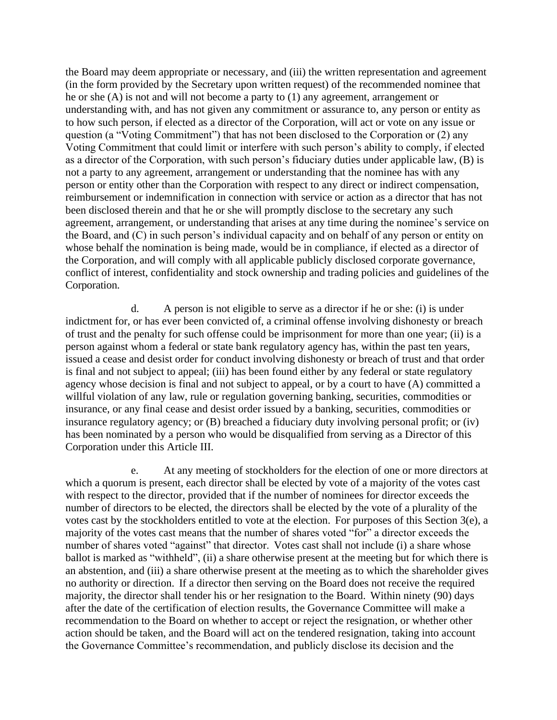the Board may deem appropriate or necessary, and (iii) the written representation and agreement (in the form provided by the Secretary upon written request) of the recommended nominee that he or she (A) is not and will not become a party to (1) any agreement, arrangement or understanding with, and has not given any commitment or assurance to, any person or entity as to how such person, if elected as a director of the Corporation, will act or vote on any issue or question (a "Voting Commitment") that has not been disclosed to the Corporation or (2) any Voting Commitment that could limit or interfere with such person's ability to comply, if elected as a director of the Corporation, with such person's fiduciary duties under applicable law, (B) is not a party to any agreement, arrangement or understanding that the nominee has with any person or entity other than the Corporation with respect to any direct or indirect compensation, reimbursement or indemnification in connection with service or action as a director that has not been disclosed therein and that he or she will promptly disclose to the secretary any such agreement, arrangement, or understanding that arises at any time during the nominee's service on the Board, and (C) in such person's individual capacity and on behalf of any person or entity on whose behalf the nomination is being made, would be in compliance, if elected as a director of the Corporation, and will comply with all applicable publicly disclosed corporate governance, conflict of interest, confidentiality and stock ownership and trading policies and guidelines of the Corporation.

d. A person is not eligible to serve as a director if he or she: (i) is under indictment for, or has ever been convicted of, a criminal offense involving dishonesty or breach of trust and the penalty for such offense could be imprisonment for more than one year; (ii) is a person against whom a federal or state bank regulatory agency has, within the past ten years, issued a cease and desist order for conduct involving dishonesty or breach of trust and that order is final and not subject to appeal; (iii) has been found either by any federal or state regulatory agency whose decision is final and not subject to appeal, or by a court to have (A) committed a willful violation of any law, rule or regulation governing banking, securities, commodities or insurance, or any final cease and desist order issued by a banking, securities, commodities or insurance regulatory agency; or (B) breached a fiduciary duty involving personal profit; or (iv) has been nominated by a person who would be disqualified from serving as a Director of this Corporation under this Article III.

e. At any meeting of stockholders for the election of one or more directors at which a quorum is present, each director shall be elected by vote of a majority of the votes cast with respect to the director, provided that if the number of nominees for director exceeds the number of directors to be elected, the directors shall be elected by the vote of a plurality of the votes cast by the stockholders entitled to vote at the election. For purposes of this Section 3(e), a majority of the votes cast means that the number of shares voted "for" a director exceeds the number of shares voted "against" that director. Votes cast shall not include (i) a share whose ballot is marked as "withheld", (ii) a share otherwise present at the meeting but for which there is an abstention, and (iii) a share otherwise present at the meeting as to which the shareholder gives no authority or direction. If a director then serving on the Board does not receive the required majority, the director shall tender his or her resignation to the Board. Within ninety (90) days after the date of the certification of election results, the Governance Committee will make a recommendation to the Board on whether to accept or reject the resignation, or whether other action should be taken, and the Board will act on the tendered resignation, taking into account the Governance Committee's recommendation, and publicly disclose its decision and the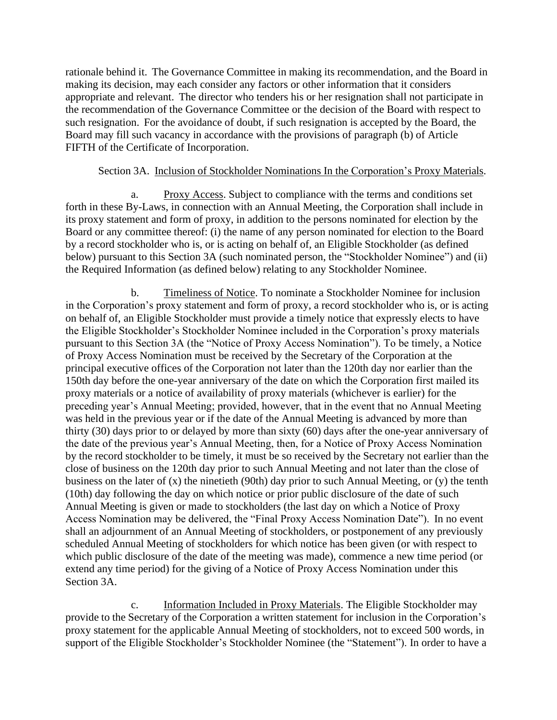rationale behind it. The Governance Committee in making its recommendation, and the Board in making its decision, may each consider any factors or other information that it considers appropriate and relevant. The director who tenders his or her resignation shall not participate in the recommendation of the Governance Committee or the decision of the Board with respect to such resignation. For the avoidance of doubt, if such resignation is accepted by the Board, the Board may fill such vacancy in accordance with the provisions of paragraph (b) of Article FIFTH of the Certificate of Incorporation.

### Section 3A. Inclusion of Stockholder Nominations In the Corporation's Proxy Materials.

a. Proxy Access. Subject to compliance with the terms and conditions set forth in these By-Laws, in connection with an Annual Meeting, the Corporation shall include in its proxy statement and form of proxy, in addition to the persons nominated for election by the Board or any committee thereof: (i) the name of any person nominated for election to the Board by a record stockholder who is, or is acting on behalf of, an Eligible Stockholder (as defined below) pursuant to this Section 3A (such nominated person, the "Stockholder Nominee") and (ii) the Required Information (as defined below) relating to any Stockholder Nominee.

b. Timeliness of Notice. To nominate a Stockholder Nominee for inclusion in the Corporation's proxy statement and form of proxy, a record stockholder who is, or is acting on behalf of, an Eligible Stockholder must provide a timely notice that expressly elects to have the Eligible Stockholder's Stockholder Nominee included in the Corporation's proxy materials pursuant to this Section 3A (the "Notice of Proxy Access Nomination"). To be timely, a Notice of Proxy Access Nomination must be received by the Secretary of the Corporation at the principal executive offices of the Corporation not later than the 120th day nor earlier than the 150th day before the one-year anniversary of the date on which the Corporation first mailed its proxy materials or a notice of availability of proxy materials (whichever is earlier) for the preceding year's Annual Meeting; provided, however, that in the event that no Annual Meeting was held in the previous year or if the date of the Annual Meeting is advanced by more than thirty (30) days prior to or delayed by more than sixty (60) days after the one-year anniversary of the date of the previous year's Annual Meeting, then, for a Notice of Proxy Access Nomination by the record stockholder to be timely, it must be so received by the Secretary not earlier than the close of business on the 120th day prior to such Annual Meeting and not later than the close of business on the later of (x) the ninetieth (90th) day prior to such Annual Meeting, or (y) the tenth (10th) day following the day on which notice or prior public disclosure of the date of such Annual Meeting is given or made to stockholders (the last day on which a Notice of Proxy Access Nomination may be delivered, the "Final Proxy Access Nomination Date"). In no event shall an adjournment of an Annual Meeting of stockholders, or postponement of any previously scheduled Annual Meeting of stockholders for which notice has been given (or with respect to which public disclosure of the date of the meeting was made), commence a new time period (or extend any time period) for the giving of a Notice of Proxy Access Nomination under this Section 3A.

c. Information Included in Proxy Materials. The Eligible Stockholder may provide to the Secretary of the Corporation a written statement for inclusion in the Corporation's proxy statement for the applicable Annual Meeting of stockholders, not to exceed 500 words, in support of the Eligible Stockholder's Stockholder Nominee (the "Statement"). In order to have a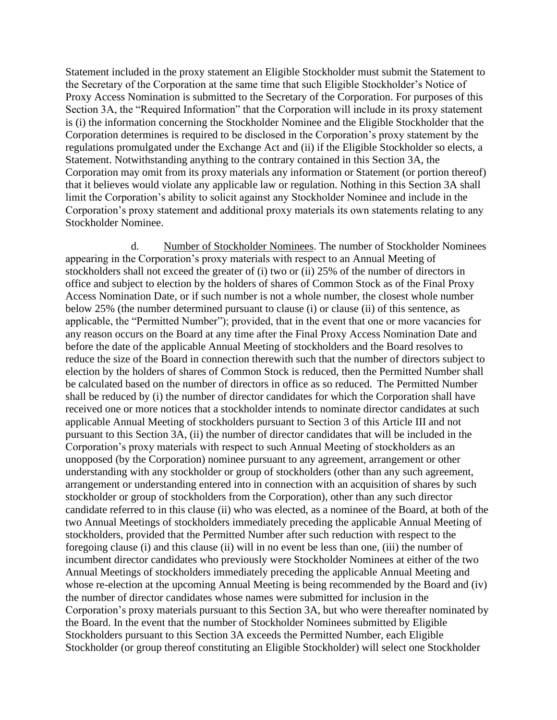Statement included in the proxy statement an Eligible Stockholder must submit the Statement to the Secretary of the Corporation at the same time that such Eligible Stockholder's Notice of Proxy Access Nomination is submitted to the Secretary of the Corporation. For purposes of this Section 3A, the "Required Information" that the Corporation will include in its proxy statement is (i) the information concerning the Stockholder Nominee and the Eligible Stockholder that the Corporation determines is required to be disclosed in the Corporation's proxy statement by the regulations promulgated under the Exchange Act and (ii) if the Eligible Stockholder so elects, a Statement. Notwithstanding anything to the contrary contained in this Section 3A, the Corporation may omit from its proxy materials any information or Statement (or portion thereof) that it believes would violate any applicable law or regulation. Nothing in this Section 3A shall limit the Corporation's ability to solicit against any Stockholder Nominee and include in the Corporation's proxy statement and additional proxy materials its own statements relating to any Stockholder Nominee.

d. Number of Stockholder Nominees. The number of Stockholder Nominees appearing in the Corporation's proxy materials with respect to an Annual Meeting of stockholders shall not exceed the greater of (i) two or (ii) 25% of the number of directors in office and subject to election by the holders of shares of Common Stock as of the Final Proxy Access Nomination Date, or if such number is not a whole number, the closest whole number below 25% (the number determined pursuant to clause (i) or clause (ii) of this sentence, as applicable, the "Permitted Number"); provided, that in the event that one or more vacancies for any reason occurs on the Board at any time after the Final Proxy Access Nomination Date and before the date of the applicable Annual Meeting of stockholders and the Board resolves to reduce the size of the Board in connection therewith such that the number of directors subject to election by the holders of shares of Common Stock is reduced, then the Permitted Number shall be calculated based on the number of directors in office as so reduced. The Permitted Number shall be reduced by (i) the number of director candidates for which the Corporation shall have received one or more notices that a stockholder intends to nominate director candidates at such applicable Annual Meeting of stockholders pursuant to Section 3 of this Article III and not pursuant to this Section 3A, (ii) the number of director candidates that will be included in the Corporation's proxy materials with respect to such Annual Meeting of stockholders as an unopposed (by the Corporation) nominee pursuant to any agreement, arrangement or other understanding with any stockholder or group of stockholders (other than any such agreement, arrangement or understanding entered into in connection with an acquisition of shares by such stockholder or group of stockholders from the Corporation), other than any such director candidate referred to in this clause (ii) who was elected, as a nominee of the Board, at both of the two Annual Meetings of stockholders immediately preceding the applicable Annual Meeting of stockholders, provided that the Permitted Number after such reduction with respect to the foregoing clause (i) and this clause (ii) will in no event be less than one, (iii) the number of incumbent director candidates who previously were Stockholder Nominees at either of the two Annual Meetings of stockholders immediately preceding the applicable Annual Meeting and whose re-election at the upcoming Annual Meeting is being recommended by the Board and (iv) the number of director candidates whose names were submitted for inclusion in the Corporation's proxy materials pursuant to this Section 3A, but who were thereafter nominated by the Board. In the event that the number of Stockholder Nominees submitted by Eligible Stockholders pursuant to this Section 3A exceeds the Permitted Number, each Eligible Stockholder (or group thereof constituting an Eligible Stockholder) will select one Stockholder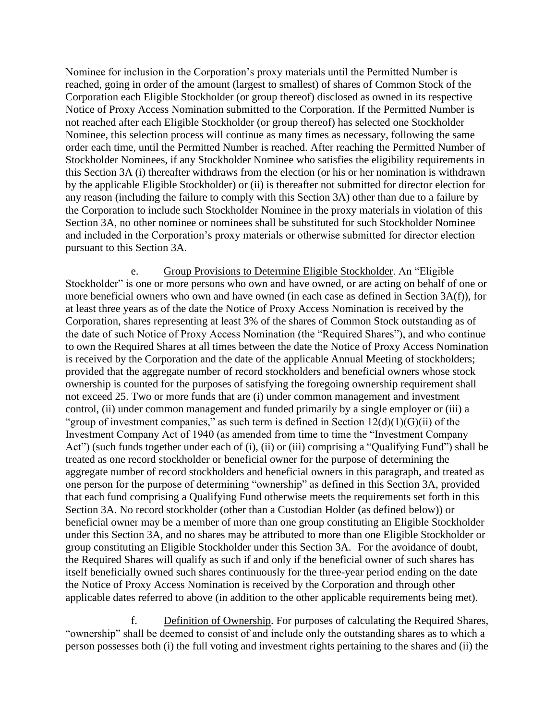Nominee for inclusion in the Corporation's proxy materials until the Permitted Number is reached, going in order of the amount (largest to smallest) of shares of Common Stock of the Corporation each Eligible Stockholder (or group thereof) disclosed as owned in its respective Notice of Proxy Access Nomination submitted to the Corporation. If the Permitted Number is not reached after each Eligible Stockholder (or group thereof) has selected one Stockholder Nominee, this selection process will continue as many times as necessary, following the same order each time, until the Permitted Number is reached. After reaching the Permitted Number of Stockholder Nominees, if any Stockholder Nominee who satisfies the eligibility requirements in this Section 3A (i) thereafter withdraws from the election (or his or her nomination is withdrawn by the applicable Eligible Stockholder) or (ii) is thereafter not submitted for director election for any reason (including the failure to comply with this Section 3A) other than due to a failure by the Corporation to include such Stockholder Nominee in the proxy materials in violation of this Section 3A, no other nominee or nominees shall be substituted for such Stockholder Nominee and included in the Corporation's proxy materials or otherwise submitted for director election pursuant to this Section 3A.

e. Group Provisions to Determine Eligible Stockholder. An "Eligible Stockholder" is one or more persons who own and have owned, or are acting on behalf of one or more beneficial owners who own and have owned (in each case as defined in Section 3A(f)), for at least three years as of the date the Notice of Proxy Access Nomination is received by the Corporation, shares representing at least 3% of the shares of Common Stock outstanding as of the date of such Notice of Proxy Access Nomination (the "Required Shares"), and who continue to own the Required Shares at all times between the date the Notice of Proxy Access Nomination is received by the Corporation and the date of the applicable Annual Meeting of stockholders; provided that the aggregate number of record stockholders and beneficial owners whose stock ownership is counted for the purposes of satisfying the foregoing ownership requirement shall not exceed 25. Two or more funds that are (i) under common management and investment control, (ii) under common management and funded primarily by a single employer or (iii) a "group of investment companies," as such term is defined in Section  $12(d)(1)(G)(ii)$  of the Investment Company Act of 1940 (as amended from time to time the "Investment Company Act") (such funds together under each of (i), (ii) or (iii) comprising a "Qualifying Fund") shall be treated as one record stockholder or beneficial owner for the purpose of determining the aggregate number of record stockholders and beneficial owners in this paragraph, and treated as one person for the purpose of determining "ownership" as defined in this Section 3A, provided that each fund comprising a Qualifying Fund otherwise meets the requirements set forth in this Section 3A. No record stockholder (other than a Custodian Holder (as defined below)) or beneficial owner may be a member of more than one group constituting an Eligible Stockholder under this Section 3A, and no shares may be attributed to more than one Eligible Stockholder or group constituting an Eligible Stockholder under this Section 3A. For the avoidance of doubt, the Required Shares will qualify as such if and only if the beneficial owner of such shares has itself beneficially owned such shares continuously for the three-year period ending on the date the Notice of Proxy Access Nomination is received by the Corporation and through other applicable dates referred to above (in addition to the other applicable requirements being met).

f. Definition of Ownership. For purposes of calculating the Required Shares, "ownership" shall be deemed to consist of and include only the outstanding shares as to which a person possesses both (i) the full voting and investment rights pertaining to the shares and (ii) the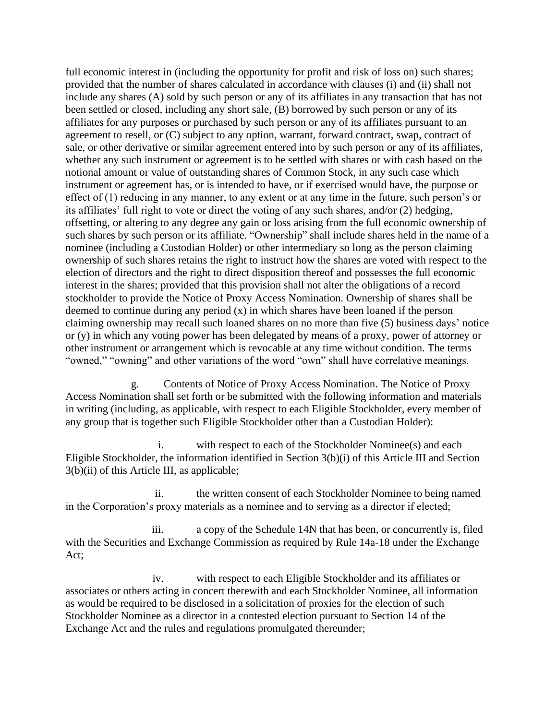full economic interest in (including the opportunity for profit and risk of loss on) such shares; provided that the number of shares calculated in accordance with clauses (i) and (ii) shall not include any shares (A) sold by such person or any of its affiliates in any transaction that has not been settled or closed, including any short sale, (B) borrowed by such person or any of its affiliates for any purposes or purchased by such person or any of its affiliates pursuant to an agreement to resell, or (C) subject to any option, warrant, forward contract, swap, contract of sale, or other derivative or similar agreement entered into by such person or any of its affiliates, whether any such instrument or agreement is to be settled with shares or with cash based on the notional amount or value of outstanding shares of Common Stock, in any such case which instrument or agreement has, or is intended to have, or if exercised would have, the purpose or effect of (1) reducing in any manner, to any extent or at any time in the future, such person's or its affiliates' full right to vote or direct the voting of any such shares, and/or (2) hedging, offsetting, or altering to any degree any gain or loss arising from the full economic ownership of such shares by such person or its affiliate. "Ownership" shall include shares held in the name of a nominee (including a Custodian Holder) or other intermediary so long as the person claiming ownership of such shares retains the right to instruct how the shares are voted with respect to the election of directors and the right to direct disposition thereof and possesses the full economic interest in the shares; provided that this provision shall not alter the obligations of a record stockholder to provide the Notice of Proxy Access Nomination. Ownership of shares shall be deemed to continue during any period (x) in which shares have been loaned if the person claiming ownership may recall such loaned shares on no more than five (5) business days' notice or (y) in which any voting power has been delegated by means of a proxy, power of attorney or other instrument or arrangement which is revocable at any time without condition. The terms "owned," "owning" and other variations of the word "own" shall have correlative meanings.

g. Contents of Notice of Proxy Access Nomination. The Notice of Proxy Access Nomination shall set forth or be submitted with the following information and materials in writing (including, as applicable, with respect to each Eligible Stockholder, every member of any group that is together such Eligible Stockholder other than a Custodian Holder):

i. with respect to each of the Stockholder Nominee(s) and each Eligible Stockholder, the information identified in Section 3(b)(i) of this Article III and Section 3(b)(ii) of this Article III, as applicable;

ii. the written consent of each Stockholder Nominee to being named in the Corporation's proxy materials as a nominee and to serving as a director if elected;

iii. a copy of the Schedule 14N that has been, or concurrently is, filed with the Securities and Exchange Commission as required by Rule 14a-18 under the Exchange Act;

iv. with respect to each Eligible Stockholder and its affiliates or associates or others acting in concert therewith and each Stockholder Nominee, all information as would be required to be disclosed in a solicitation of proxies for the election of such Stockholder Nominee as a director in a contested election pursuant to Section 14 of the Exchange Act and the rules and regulations promulgated thereunder;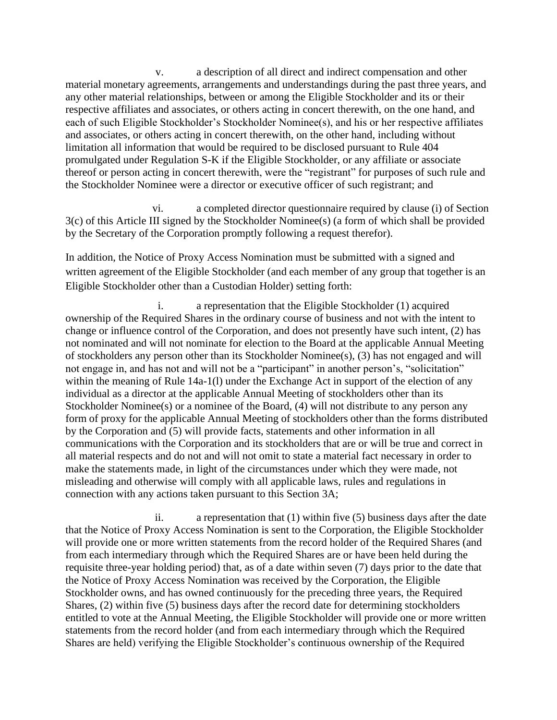v. a description of all direct and indirect compensation and other material monetary agreements, arrangements and understandings during the past three years, and any other material relationships, between or among the Eligible Stockholder and its or their respective affiliates and associates, or others acting in concert therewith, on the one hand, and each of such Eligible Stockholder's Stockholder Nominee(s), and his or her respective affiliates and associates, or others acting in concert therewith, on the other hand, including without limitation all information that would be required to be disclosed pursuant to Rule 404 promulgated under Regulation S-K if the Eligible Stockholder, or any affiliate or associate thereof or person acting in concert therewith, were the "registrant" for purposes of such rule and the Stockholder Nominee were a director or executive officer of such registrant; and

a completed director questionnaire required by clause (i) of Section 3(c) of this Article III signed by the Stockholder Nominee(s) (a form of which shall be provided by the Secretary of the Corporation promptly following a request therefor).

In addition, the Notice of Proxy Access Nomination must be submitted with a signed and written agreement of the Eligible Stockholder (and each member of any group that together is an Eligible Stockholder other than a Custodian Holder) setting forth:

i. a representation that the Eligible Stockholder (1) acquired ownership of the Required Shares in the ordinary course of business and not with the intent to change or influence control of the Corporation, and does not presently have such intent, (2) has not nominated and will not nominate for election to the Board at the applicable Annual Meeting of stockholders any person other than its Stockholder Nominee(s), (3) has not engaged and will not engage in, and has not and will not be a "participant" in another person's, "solicitation" within the meaning of Rule 14a-1(1) under the Exchange Act in support of the election of any individual as a director at the applicable Annual Meeting of stockholders other than its Stockholder Nominee(s) or a nominee of the Board, (4) will not distribute to any person any form of proxy for the applicable Annual Meeting of stockholders other than the forms distributed by the Corporation and (5) will provide facts, statements and other information in all communications with the Corporation and its stockholders that are or will be true and correct in all material respects and do not and will not omit to state a material fact necessary in order to make the statements made, in light of the circumstances under which they were made, not misleading and otherwise will comply with all applicable laws, rules and regulations in connection with any actions taken pursuant to this Section 3A;

ii. a representation that (1) within five (5) business days after the date that the Notice of Proxy Access Nomination is sent to the Corporation, the Eligible Stockholder will provide one or more written statements from the record holder of the Required Shares (and from each intermediary through which the Required Shares are or have been held during the requisite three-year holding period) that, as of a date within seven (7) days prior to the date that the Notice of Proxy Access Nomination was received by the Corporation, the Eligible Stockholder owns, and has owned continuously for the preceding three years, the Required Shares, (2) within five (5) business days after the record date for determining stockholders entitled to vote at the Annual Meeting, the Eligible Stockholder will provide one or more written statements from the record holder (and from each intermediary through which the Required Shares are held) verifying the Eligible Stockholder's continuous ownership of the Required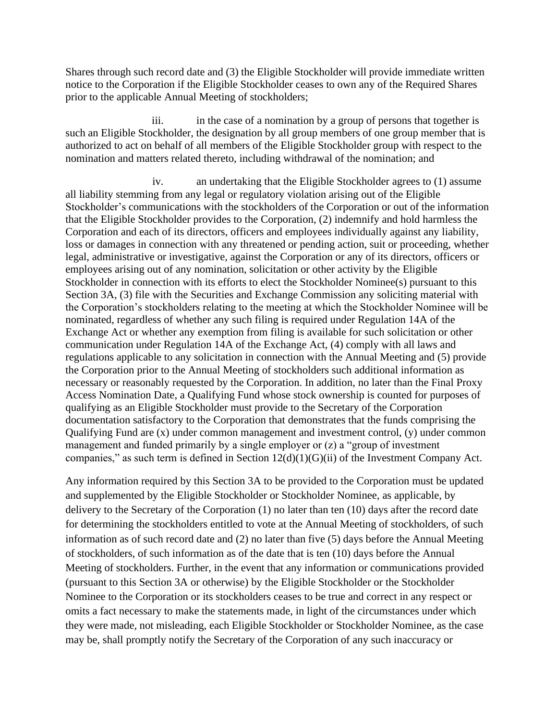Shares through such record date and (3) the Eligible Stockholder will provide immediate written notice to the Corporation if the Eligible Stockholder ceases to own any of the Required Shares prior to the applicable Annual Meeting of stockholders;

iii. in the case of a nomination by a group of persons that together is such an Eligible Stockholder, the designation by all group members of one group member that is authorized to act on behalf of all members of the Eligible Stockholder group with respect to the nomination and matters related thereto, including withdrawal of the nomination; and

iv. an undertaking that the Eligible Stockholder agrees to (1) assume all liability stemming from any legal or regulatory violation arising out of the Eligible Stockholder's communications with the stockholders of the Corporation or out of the information that the Eligible Stockholder provides to the Corporation, (2) indemnify and hold harmless the Corporation and each of its directors, officers and employees individually against any liability, loss or damages in connection with any threatened or pending action, suit or proceeding, whether legal, administrative or investigative, against the Corporation or any of its directors, officers or employees arising out of any nomination, solicitation or other activity by the Eligible Stockholder in connection with its efforts to elect the Stockholder Nominee(s) pursuant to this Section 3A, (3) file with the Securities and Exchange Commission any soliciting material with the Corporation's stockholders relating to the meeting at which the Stockholder Nominee will be nominated, regardless of whether any such filing is required under Regulation 14A of the Exchange Act or whether any exemption from filing is available for such solicitation or other communication under Regulation 14A of the Exchange Act, (4) comply with all laws and regulations applicable to any solicitation in connection with the Annual Meeting and (5) provide the Corporation prior to the Annual Meeting of stockholders such additional information as necessary or reasonably requested by the Corporation. In addition, no later than the Final Proxy Access Nomination Date, a Qualifying Fund whose stock ownership is counted for purposes of qualifying as an Eligible Stockholder must provide to the Secretary of the Corporation documentation satisfactory to the Corporation that demonstrates that the funds comprising the Qualifying Fund are (x) under common management and investment control, (y) under common management and funded primarily by a single employer or (z) a "group of investment companies," as such term is defined in Section 12(d)(1)(G)(ii) of the Investment Company Act.

Any information required by this Section 3A to be provided to the Corporation must be updated and supplemented by the Eligible Stockholder or Stockholder Nominee, as applicable, by delivery to the Secretary of the Corporation (1) no later than ten (10) days after the record date for determining the stockholders entitled to vote at the Annual Meeting of stockholders, of such information as of such record date and (2) no later than five (5) days before the Annual Meeting of stockholders, of such information as of the date that is ten (10) days before the Annual Meeting of stockholders. Further, in the event that any information or communications provided (pursuant to this Section 3A or otherwise) by the Eligible Stockholder or the Stockholder Nominee to the Corporation or its stockholders ceases to be true and correct in any respect or omits a fact necessary to make the statements made, in light of the circumstances under which they were made, not misleading, each Eligible Stockholder or Stockholder Nominee, as the case may be, shall promptly notify the Secretary of the Corporation of any such inaccuracy or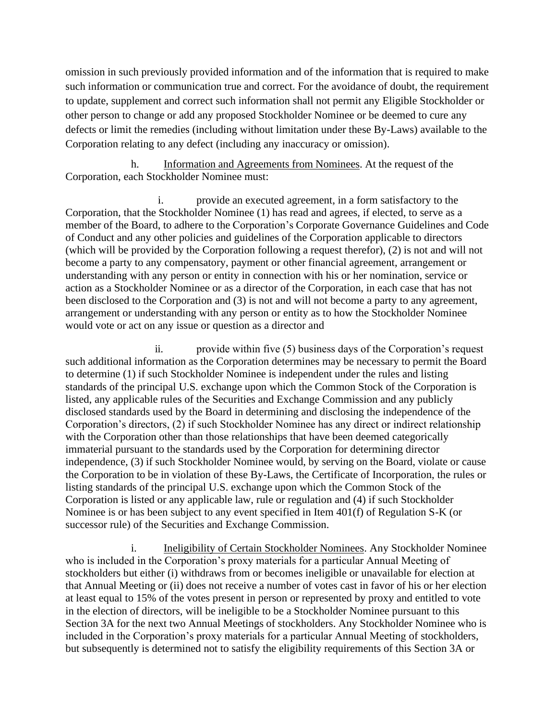omission in such previously provided information and of the information that is required to make such information or communication true and correct. For the avoidance of doubt, the requirement to update, supplement and correct such information shall not permit any Eligible Stockholder or other person to change or add any proposed Stockholder Nominee or be deemed to cure any defects or limit the remedies (including without limitation under these By-Laws) available to the Corporation relating to any defect (including any inaccuracy or omission).

h. Information and Agreements from Nominees. At the request of the Corporation, each Stockholder Nominee must:

i. provide an executed agreement, in a form satisfactory to the Corporation, that the Stockholder Nominee (1) has read and agrees, if elected, to serve as a member of the Board, to adhere to the Corporation's Corporate Governance Guidelines and Code of Conduct and any other policies and guidelines of the Corporation applicable to directors (which will be provided by the Corporation following a request therefor), (2) is not and will not become a party to any compensatory, payment or other financial agreement, arrangement or understanding with any person or entity in connection with his or her nomination, service or action as a Stockholder Nominee or as a director of the Corporation, in each case that has not been disclosed to the Corporation and (3) is not and will not become a party to any agreement, arrangement or understanding with any person or entity as to how the Stockholder Nominee would vote or act on any issue or question as a director and

ii. provide within five (5) business days of the Corporation's request such additional information as the Corporation determines may be necessary to permit the Board to determine (1) if such Stockholder Nominee is independent under the rules and listing standards of the principal U.S. exchange upon which the Common Stock of the Corporation is listed, any applicable rules of the Securities and Exchange Commission and any publicly disclosed standards used by the Board in determining and disclosing the independence of the Corporation's directors, (2) if such Stockholder Nominee has any direct or indirect relationship with the Corporation other than those relationships that have been deemed categorically immaterial pursuant to the standards used by the Corporation for determining director independence, (3) if such Stockholder Nominee would, by serving on the Board, violate or cause the Corporation to be in violation of these By-Laws, the Certificate of Incorporation, the rules or listing standards of the principal U.S. exchange upon which the Common Stock of the Corporation is listed or any applicable law, rule or regulation and (4) if such Stockholder Nominee is or has been subject to any event specified in Item 401(f) of Regulation S-K (or successor rule) of the Securities and Exchange Commission.

i. Ineligibility of Certain Stockholder Nominees. Any Stockholder Nominee who is included in the Corporation's proxy materials for a particular Annual Meeting of stockholders but either (i) withdraws from or becomes ineligible or unavailable for election at that Annual Meeting or (ii) does not receive a number of votes cast in favor of his or her election at least equal to 15% of the votes present in person or represented by proxy and entitled to vote in the election of directors, will be ineligible to be a Stockholder Nominee pursuant to this Section 3A for the next two Annual Meetings of stockholders. Any Stockholder Nominee who is included in the Corporation's proxy materials for a particular Annual Meeting of stockholders, but subsequently is determined not to satisfy the eligibility requirements of this Section 3A or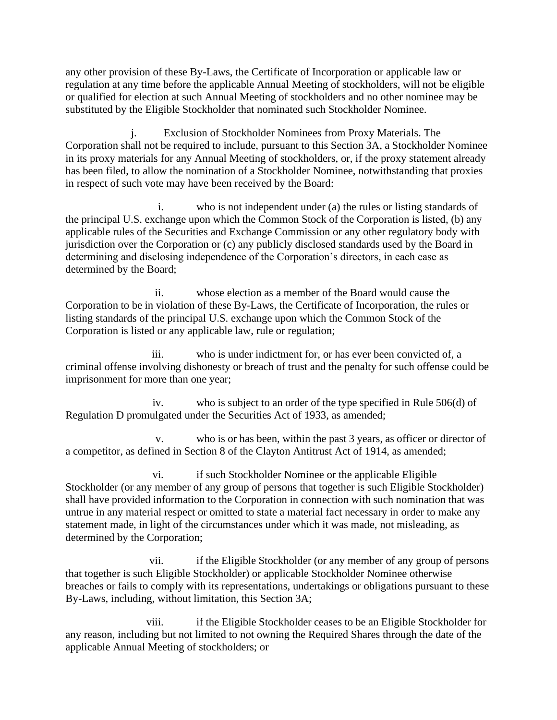any other provision of these By-Laws, the Certificate of Incorporation or applicable law or regulation at any time before the applicable Annual Meeting of stockholders, will not be eligible or qualified for election at such Annual Meeting of stockholders and no other nominee may be substituted by the Eligible Stockholder that nominated such Stockholder Nominee.

j. Exclusion of Stockholder Nominees from Proxy Materials. The Corporation shall not be required to include, pursuant to this Section 3A, a Stockholder Nominee in its proxy materials for any Annual Meeting of stockholders, or, if the proxy statement already has been filed, to allow the nomination of a Stockholder Nominee, notwithstanding that proxies in respect of such vote may have been received by the Board:

i. who is not independent under (a) the rules or listing standards of the principal U.S. exchange upon which the Common Stock of the Corporation is listed, (b) any applicable rules of the Securities and Exchange Commission or any other regulatory body with jurisdiction over the Corporation or (c) any publicly disclosed standards used by the Board in determining and disclosing independence of the Corporation's directors, in each case as determined by the Board;

ii. whose election as a member of the Board would cause the Corporation to be in violation of these By-Laws, the Certificate of Incorporation, the rules or listing standards of the principal U.S. exchange upon which the Common Stock of the Corporation is listed or any applicable law, rule or regulation;

iii. who is under indictment for, or has ever been convicted of, a criminal offense involving dishonesty or breach of trust and the penalty for such offense could be imprisonment for more than one year;

iv. who is subject to an order of the type specified in Rule 506(d) of Regulation D promulgated under the Securities Act of 1933, as amended;

v. who is or has been, within the past 3 years, as officer or director of a competitor, as defined in Section 8 of the Clayton Antitrust Act of 1914, as amended;

vi. if such Stockholder Nominee or the applicable Eligible Stockholder (or any member of any group of persons that together is such Eligible Stockholder) shall have provided information to the Corporation in connection with such nomination that was untrue in any material respect or omitted to state a material fact necessary in order to make any statement made, in light of the circumstances under which it was made, not misleading, as determined by the Corporation;

vii. if the Eligible Stockholder (or any member of any group of persons that together is such Eligible Stockholder) or applicable Stockholder Nominee otherwise breaches or fails to comply with its representations, undertakings or obligations pursuant to these By-Laws, including, without limitation, this Section 3A;

viii. if the Eligible Stockholder ceases to be an Eligible Stockholder for any reason, including but not limited to not owning the Required Shares through the date of the applicable Annual Meeting of stockholders; or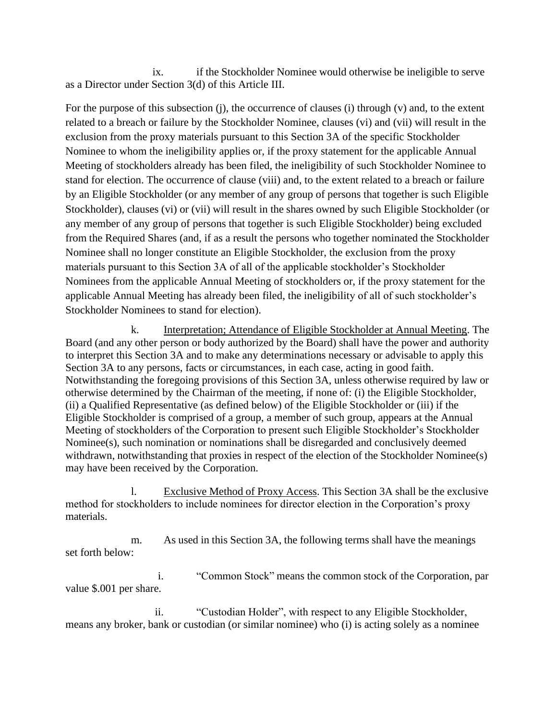ix. if the Stockholder Nominee would otherwise be ineligible to serve as a Director under Section 3(d) of this Article III.

For the purpose of this subsection (j), the occurrence of clauses (i) through (v) and, to the extent related to a breach or failure by the Stockholder Nominee, clauses (vi) and (vii) will result in the exclusion from the proxy materials pursuant to this Section 3A of the specific Stockholder Nominee to whom the ineligibility applies or, if the proxy statement for the applicable Annual Meeting of stockholders already has been filed, the ineligibility of such Stockholder Nominee to stand for election. The occurrence of clause (viii) and, to the extent related to a breach or failure by an Eligible Stockholder (or any member of any group of persons that together is such Eligible Stockholder), clauses (vi) or (vii) will result in the shares owned by such Eligible Stockholder (or any member of any group of persons that together is such Eligible Stockholder) being excluded from the Required Shares (and, if as a result the persons who together nominated the Stockholder Nominee shall no longer constitute an Eligible Stockholder, the exclusion from the proxy materials pursuant to this Section 3A of all of the applicable stockholder's Stockholder Nominees from the applicable Annual Meeting of stockholders or, if the proxy statement for the applicable Annual Meeting has already been filed, the ineligibility of all of such stockholder's Stockholder Nominees to stand for election).

k. Interpretation; Attendance of Eligible Stockholder at Annual Meeting. The Board (and any other person or body authorized by the Board) shall have the power and authority to interpret this Section 3A and to make any determinations necessary or advisable to apply this Section 3A to any persons, facts or circumstances, in each case, acting in good faith. Notwithstanding the foregoing provisions of this Section 3A, unless otherwise required by law or otherwise determined by the Chairman of the meeting, if none of: (i) the Eligible Stockholder, (ii) a Qualified Representative (as defined below) of the Eligible Stockholder or (iii) if the Eligible Stockholder is comprised of a group, a member of such group, appears at the Annual Meeting of stockholders of the Corporation to present such Eligible Stockholder's Stockholder Nominee(s), such nomination or nominations shall be disregarded and conclusively deemed withdrawn, notwithstanding that proxies in respect of the election of the Stockholder Nominee(s) may have been received by the Corporation.

l. Exclusive Method of Proxy Access. This Section 3A shall be the exclusive method for stockholders to include nominees for director election in the Corporation's proxy materials.

m. As used in this Section 3A, the following terms shall have the meanings set forth below:

i. "Common Stock" means the common stock of the Corporation, par value \$.001 per share.

ii. "Custodian Holder", with respect to any Eligible Stockholder, means any broker, bank or custodian (or similar nominee) who (i) is acting solely as a nominee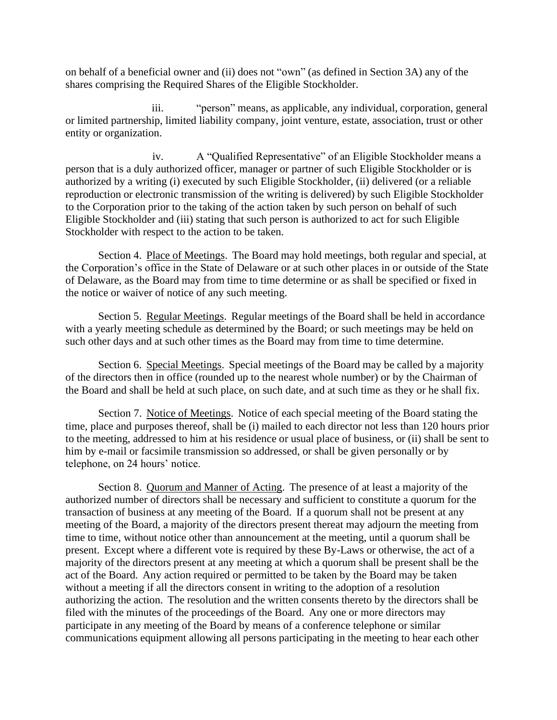on behalf of a beneficial owner and (ii) does not "own" (as defined in Section 3A) any of the shares comprising the Required Shares of the Eligible Stockholder.

iii. "person" means, as applicable, any individual, corporation, general or limited partnership, limited liability company, joint venture, estate, association, trust or other entity or organization.

iv. A "Qualified Representative" of an Eligible Stockholder means a person that is a duly authorized officer, manager or partner of such Eligible Stockholder or is authorized by a writing (i) executed by such Eligible Stockholder, (ii) delivered (or a reliable reproduction or electronic transmission of the writing is delivered) by such Eligible Stockholder to the Corporation prior to the taking of the action taken by such person on behalf of such Eligible Stockholder and (iii) stating that such person is authorized to act for such Eligible Stockholder with respect to the action to be taken.

Section 4. Place of Meetings. The Board may hold meetings, both regular and special, at the Corporation's office in the State of Delaware or at such other places in or outside of the State of Delaware, as the Board may from time to time determine or as shall be specified or fixed in the notice or waiver of notice of any such meeting.

Section 5. Regular Meetings. Regular meetings of the Board shall be held in accordance with a yearly meeting schedule as determined by the Board; or such meetings may be held on such other days and at such other times as the Board may from time to time determine.

Section 6. Special Meetings. Special meetings of the Board may be called by a majority of the directors then in office (rounded up to the nearest whole number) or by the Chairman of the Board and shall be held at such place, on such date, and at such time as they or he shall fix.

Section 7. Notice of Meetings. Notice of each special meeting of the Board stating the time, place and purposes thereof, shall be (i) mailed to each director not less than 120 hours prior to the meeting, addressed to him at his residence or usual place of business, or (ii) shall be sent to him by e-mail or facsimile transmission so addressed, or shall be given personally or by telephone, on 24 hours' notice.

Section 8. Quorum and Manner of Acting. The presence of at least a majority of the authorized number of directors shall be necessary and sufficient to constitute a quorum for the transaction of business at any meeting of the Board. If a quorum shall not be present at any meeting of the Board, a majority of the directors present thereat may adjourn the meeting from time to time, without notice other than announcement at the meeting, until a quorum shall be present. Except where a different vote is required by these By-Laws or otherwise, the act of a majority of the directors present at any meeting at which a quorum shall be present shall be the act of the Board. Any action required or permitted to be taken by the Board may be taken without a meeting if all the directors consent in writing to the adoption of a resolution authorizing the action. The resolution and the written consents thereto by the directors shall be filed with the minutes of the proceedings of the Board. Any one or more directors may participate in any meeting of the Board by means of a conference telephone or similar communications equipment allowing all persons participating in the meeting to hear each other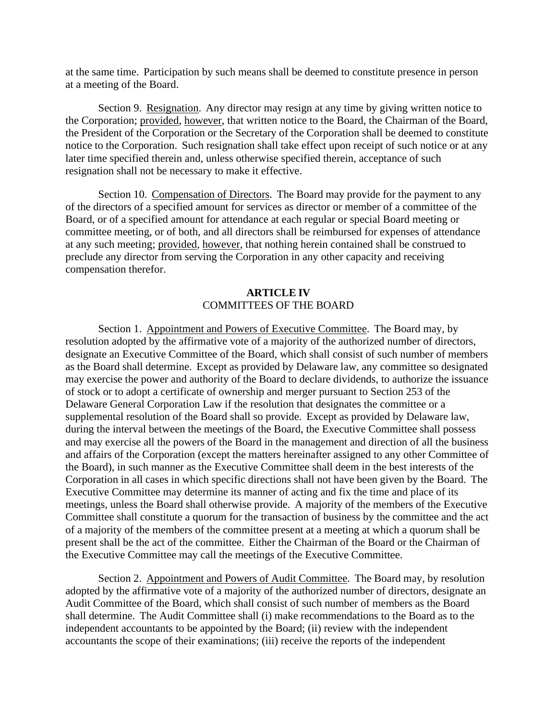at the same time. Participation by such means shall be deemed to constitute presence in person at a meeting of the Board.

Section 9. Resignation. Any director may resign at any time by giving written notice to the Corporation; provided, however, that written notice to the Board, the Chairman of the Board, the President of the Corporation or the Secretary of the Corporation shall be deemed to constitute notice to the Corporation. Such resignation shall take effect upon receipt of such notice or at any later time specified therein and, unless otherwise specified therein, acceptance of such resignation shall not be necessary to make it effective.

Section 10. Compensation of Directors. The Board may provide for the payment to any of the directors of a specified amount for services as director or member of a committee of the Board, or of a specified amount for attendance at each regular or special Board meeting or committee meeting, or of both, and all directors shall be reimbursed for expenses of attendance at any such meeting; provided, however, that nothing herein contained shall be construed to preclude any director from serving the Corporation in any other capacity and receiving compensation therefor.

### **ARTICLE IV** COMMITTEES OF THE BOARD

Section 1. Appointment and Powers of Executive Committee. The Board may, by resolution adopted by the affirmative vote of a majority of the authorized number of directors, designate an Executive Committee of the Board, which shall consist of such number of members as the Board shall determine. Except as provided by Delaware law, any committee so designated may exercise the power and authority of the Board to declare dividends, to authorize the issuance of stock or to adopt a certificate of ownership and merger pursuant to Section 253 of the Delaware General Corporation Law if the resolution that designates the committee or a supplemental resolution of the Board shall so provide. Except as provided by Delaware law, during the interval between the meetings of the Board, the Executive Committee shall possess and may exercise all the powers of the Board in the management and direction of all the business and affairs of the Corporation (except the matters hereinafter assigned to any other Committee of the Board), in such manner as the Executive Committee shall deem in the best interests of the Corporation in all cases in which specific directions shall not have been given by the Board. The Executive Committee may determine its manner of acting and fix the time and place of its meetings, unless the Board shall otherwise provide. A majority of the members of the Executive Committee shall constitute a quorum for the transaction of business by the committee and the act of a majority of the members of the committee present at a meeting at which a quorum shall be present shall be the act of the committee. Either the Chairman of the Board or the Chairman of the Executive Committee may call the meetings of the Executive Committee.

Section 2. Appointment and Powers of Audit Committee. The Board may, by resolution adopted by the affirmative vote of a majority of the authorized number of directors, designate an Audit Committee of the Board, which shall consist of such number of members as the Board shall determine. The Audit Committee shall (i) make recommendations to the Board as to the independent accountants to be appointed by the Board; (ii) review with the independent accountants the scope of their examinations; (iii) receive the reports of the independent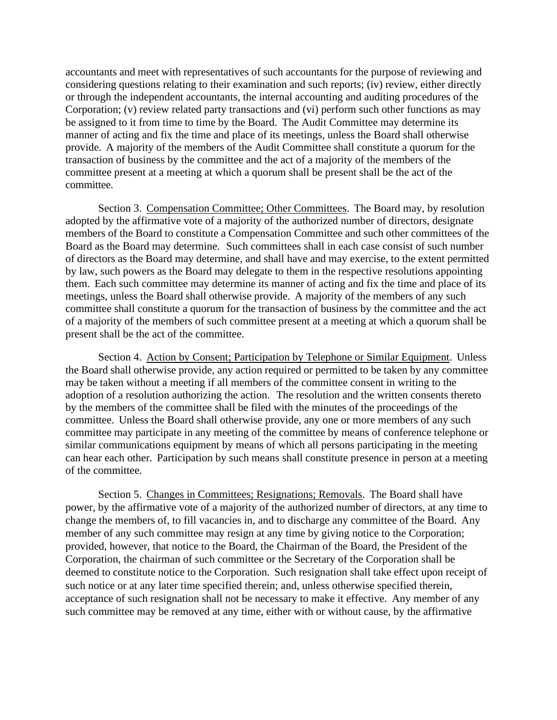accountants and meet with representatives of such accountants for the purpose of reviewing and considering questions relating to their examination and such reports; (iv) review, either directly or through the independent accountants, the internal accounting and auditing procedures of the Corporation; (v) review related party transactions and (vi) perform such other functions as may be assigned to it from time to time by the Board. The Audit Committee may determine its manner of acting and fix the time and place of its meetings, unless the Board shall otherwise provide. A majority of the members of the Audit Committee shall constitute a quorum for the transaction of business by the committee and the act of a majority of the members of the committee present at a meeting at which a quorum shall be present shall be the act of the committee.

Section 3. Compensation Committee; Other Committees. The Board may, by resolution adopted by the affirmative vote of a majority of the authorized number of directors, designate members of the Board to constitute a Compensation Committee and such other committees of the Board as the Board may determine. Such committees shall in each case consist of such number of directors as the Board may determine, and shall have and may exercise, to the extent permitted by law, such powers as the Board may delegate to them in the respective resolutions appointing them. Each such committee may determine its manner of acting and fix the time and place of its meetings, unless the Board shall otherwise provide. A majority of the members of any such committee shall constitute a quorum for the transaction of business by the committee and the act of a majority of the members of such committee present at a meeting at which a quorum shall be present shall be the act of the committee.

Section 4. Action by Consent; Participation by Telephone or Similar Equipment. Unless the Board shall otherwise provide, any action required or permitted to be taken by any committee may be taken without a meeting if all members of the committee consent in writing to the adoption of a resolution authorizing the action. The resolution and the written consents thereto by the members of the committee shall be filed with the minutes of the proceedings of the committee. Unless the Board shall otherwise provide, any one or more members of any such committee may participate in any meeting of the committee by means of conference telephone or similar communications equipment by means of which all persons participating in the meeting can hear each other. Participation by such means shall constitute presence in person at a meeting of the committee.

Section 5. Changes in Committees; Resignations; Removals. The Board shall have power, by the affirmative vote of a majority of the authorized number of directors, at any time to change the members of, to fill vacancies in, and to discharge any committee of the Board. Any member of any such committee may resign at any time by giving notice to the Corporation; provided, however, that notice to the Board, the Chairman of the Board, the President of the Corporation, the chairman of such committee or the Secretary of the Corporation shall be deemed to constitute notice to the Corporation. Such resignation shall take effect upon receipt of such notice or at any later time specified therein; and, unless otherwise specified therein, acceptance of such resignation shall not be necessary to make it effective. Any member of any such committee may be removed at any time, either with or without cause, by the affirmative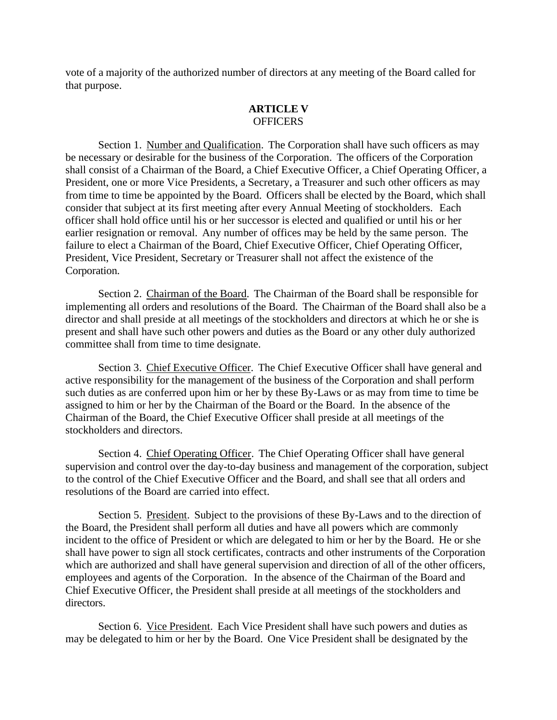vote of a majority of the authorized number of directors at any meeting of the Board called for that purpose.

## **ARTICLE V OFFICERS**

Section 1. Number and Qualification. The Corporation shall have such officers as may be necessary or desirable for the business of the Corporation. The officers of the Corporation shall consist of a Chairman of the Board, a Chief Executive Officer, a Chief Operating Officer, a President, one or more Vice Presidents, a Secretary, a Treasurer and such other officers as may from time to time be appointed by the Board. Officers shall be elected by the Board, which shall consider that subject at its first meeting after every Annual Meeting of stockholders. Each officer shall hold office until his or her successor is elected and qualified or until his or her earlier resignation or removal. Any number of offices may be held by the same person. The failure to elect a Chairman of the Board, Chief Executive Officer, Chief Operating Officer, President, Vice President, Secretary or Treasurer shall not affect the existence of the Corporation.

Section 2. Chairman of the Board. The Chairman of the Board shall be responsible for implementing all orders and resolutions of the Board. The Chairman of the Board shall also be a director and shall preside at all meetings of the stockholders and directors at which he or she is present and shall have such other powers and duties as the Board or any other duly authorized committee shall from time to time designate.

Section 3. Chief Executive Officer. The Chief Executive Officer shall have general and active responsibility for the management of the business of the Corporation and shall perform such duties as are conferred upon him or her by these By-Laws or as may from time to time be assigned to him or her by the Chairman of the Board or the Board. In the absence of the Chairman of the Board, the Chief Executive Officer shall preside at all meetings of the stockholders and directors.

Section 4. Chief Operating Officer. The Chief Operating Officer shall have general supervision and control over the day-to-day business and management of the corporation, subject to the control of the Chief Executive Officer and the Board, and shall see that all orders and resolutions of the Board are carried into effect.

Section 5. President. Subject to the provisions of these By-Laws and to the direction of the Board, the President shall perform all duties and have all powers which are commonly incident to the office of President or which are delegated to him or her by the Board. He or she shall have power to sign all stock certificates, contracts and other instruments of the Corporation which are authorized and shall have general supervision and direction of all of the other officers, employees and agents of the Corporation. In the absence of the Chairman of the Board and Chief Executive Officer, the President shall preside at all meetings of the stockholders and directors.

Section 6. Vice President. Each Vice President shall have such powers and duties as may be delegated to him or her by the Board. One Vice President shall be designated by the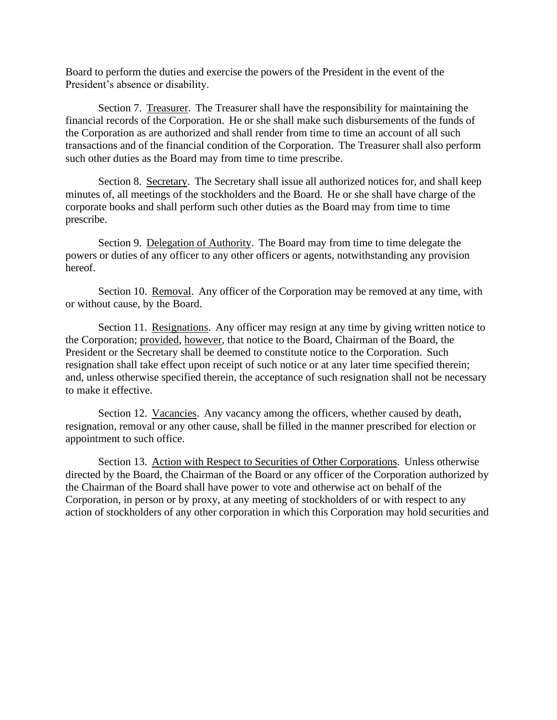Board to perform the duties and exercise the powers of the President in the event of the President's absence or disability.

Section 7. Treasurer. The Treasurer shall have the responsibility for maintaining the financial records of the Corporation. He or she shall make such disbursements of the funds of the Corporation as are authorized and shall render from time to time an account of all such transactions and of the financial condition of the Corporation. The Treasurer shall also perform such other duties as the Board may from time to time prescribe.

Section 8. Secretary. The Secretary shall issue all authorized notices for, and shall keep minutes of, all meetings of the stockholders and the Board. He or she shall have charge of the corporate books and shall perform such other duties as the Board may from time to time prescribe.

Section 9. Delegation of Authority. The Board may from time to time delegate the powers or duties of any officer to any other officers or agents, notwithstanding any provision hereof.

Section 10. Removal. Any officer of the Corporation may be removed at any time, with or without cause, by the Board.

Section 11. Resignations. Any officer may resign at any time by giving written notice to the Corporation; provided, however, that notice to the Board, Chairman of the Board, the President or the Secretary shall be deemed to constitute notice to the Corporation. Such resignation shall take effect upon receipt of such notice or at any later time specified therein; and, unless otherwise specified therein, the acceptance of such resignation shall not be necessary to make it effective.

Section 12. Vacancies. Any vacancy among the officers, whether caused by death, resignation, removal or any other cause, shall be filled in the manner prescribed for election or appointment to such office.

Section 13. Action with Respect to Securities of Other Corporations. Unless otherwise directed by the Board, the Chairman of the Board or any officer of the Corporation authorized by the Chairman of the Board shall have power to vote and otherwise act on behalf of the Corporation, in person or by proxy, at any meeting of stockholders of or with respect to any action of stockholders of any other corporation in which this Corporation may hold securities and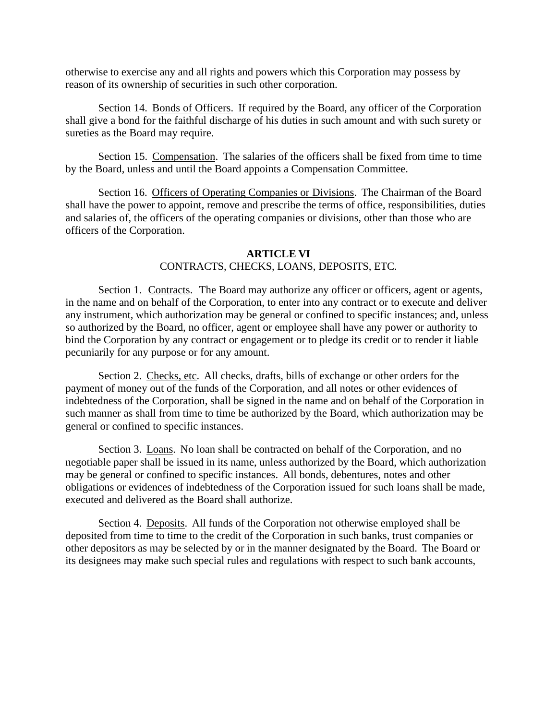otherwise to exercise any and all rights and powers which this Corporation may possess by reason of its ownership of securities in such other corporation.

Section 14. Bonds of Officers. If required by the Board, any officer of the Corporation shall give a bond for the faithful discharge of his duties in such amount and with such surety or sureties as the Board may require.

Section 15. Compensation. The salaries of the officers shall be fixed from time to time by the Board, unless and until the Board appoints a Compensation Committee.

Section 16. Officers of Operating Companies or Divisions. The Chairman of the Board shall have the power to appoint, remove and prescribe the terms of office, responsibilities, duties and salaries of, the officers of the operating companies or divisions, other than those who are officers of the Corporation.

#### **ARTICLE VI**

### CONTRACTS, CHECKS, LOANS, DEPOSITS, ETC.

Section 1. Contracts. The Board may authorize any officer or officers, agent or agents, in the name and on behalf of the Corporation, to enter into any contract or to execute and deliver any instrument, which authorization may be general or confined to specific instances; and, unless so authorized by the Board, no officer, agent or employee shall have any power or authority to bind the Corporation by any contract or engagement or to pledge its credit or to render it liable pecuniarily for any purpose or for any amount.

Section 2. Checks, etc. All checks, drafts, bills of exchange or other orders for the payment of money out of the funds of the Corporation, and all notes or other evidences of indebtedness of the Corporation, shall be signed in the name and on behalf of the Corporation in such manner as shall from time to time be authorized by the Board, which authorization may be general or confined to specific instances.

Section 3. Loans. No loan shall be contracted on behalf of the Corporation, and no negotiable paper shall be issued in its name, unless authorized by the Board, which authorization may be general or confined to specific instances. All bonds, debentures, notes and other obligations or evidences of indebtedness of the Corporation issued for such loans shall be made, executed and delivered as the Board shall authorize.

Section 4. Deposits. All funds of the Corporation not otherwise employed shall be deposited from time to time to the credit of the Corporation in such banks, trust companies or other depositors as may be selected by or in the manner designated by the Board. The Board or its designees may make such special rules and regulations with respect to such bank accounts,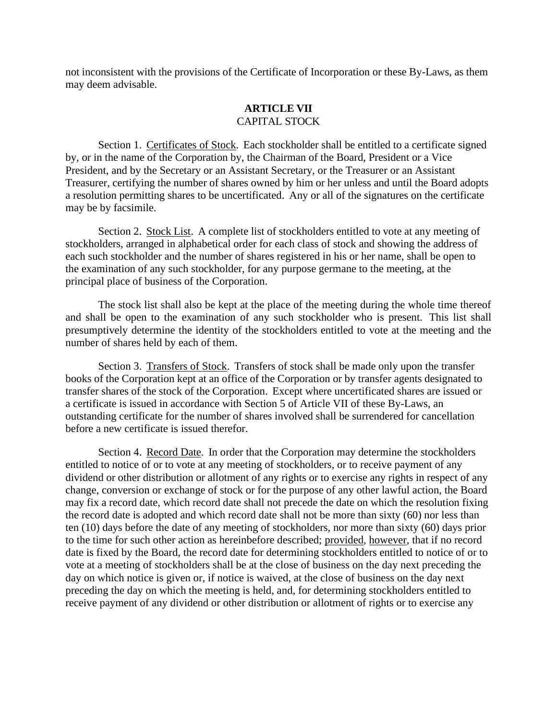not inconsistent with the provisions of the Certificate of Incorporation or these By-Laws, as them may deem advisable.

## **ARTICLE VII** CAPITAL STOCK

Section 1. Certificates of Stock. Each stockholder shall be entitled to a certificate signed by, or in the name of the Corporation by, the Chairman of the Board, President or a Vice President, and by the Secretary or an Assistant Secretary, or the Treasurer or an Assistant Treasurer, certifying the number of shares owned by him or her unless and until the Board adopts a resolution permitting shares to be uncertificated. Any or all of the signatures on the certificate may be by facsimile.

Section 2. Stock List. A complete list of stockholders entitled to vote at any meeting of stockholders, arranged in alphabetical order for each class of stock and showing the address of each such stockholder and the number of shares registered in his or her name, shall be open to the examination of any such stockholder, for any purpose germane to the meeting, at the principal place of business of the Corporation.

The stock list shall also be kept at the place of the meeting during the whole time thereof and shall be open to the examination of any such stockholder who is present. This list shall presumptively determine the identity of the stockholders entitled to vote at the meeting and the number of shares held by each of them.

Section 3. Transfers of Stock. Transfers of stock shall be made only upon the transfer books of the Corporation kept at an office of the Corporation or by transfer agents designated to transfer shares of the stock of the Corporation. Except where uncertificated shares are issued or a certificate is issued in accordance with Section 5 of Article VII of these By-Laws, an outstanding certificate for the number of shares involved shall be surrendered for cancellation before a new certificate is issued therefor.

Section 4. Record Date. In order that the Corporation may determine the stockholders entitled to notice of or to vote at any meeting of stockholders, or to receive payment of any dividend or other distribution or allotment of any rights or to exercise any rights in respect of any change, conversion or exchange of stock or for the purpose of any other lawful action, the Board may fix a record date, which record date shall not precede the date on which the resolution fixing the record date is adopted and which record date shall not be more than sixty (60) nor less than ten (10) days before the date of any meeting of stockholders, nor more than sixty (60) days prior to the time for such other action as hereinbefore described; provided, however, that if no record date is fixed by the Board, the record date for determining stockholders entitled to notice of or to vote at a meeting of stockholders shall be at the close of business on the day next preceding the day on which notice is given or, if notice is waived, at the close of business on the day next preceding the day on which the meeting is held, and, for determining stockholders entitled to receive payment of any dividend or other distribution or allotment of rights or to exercise any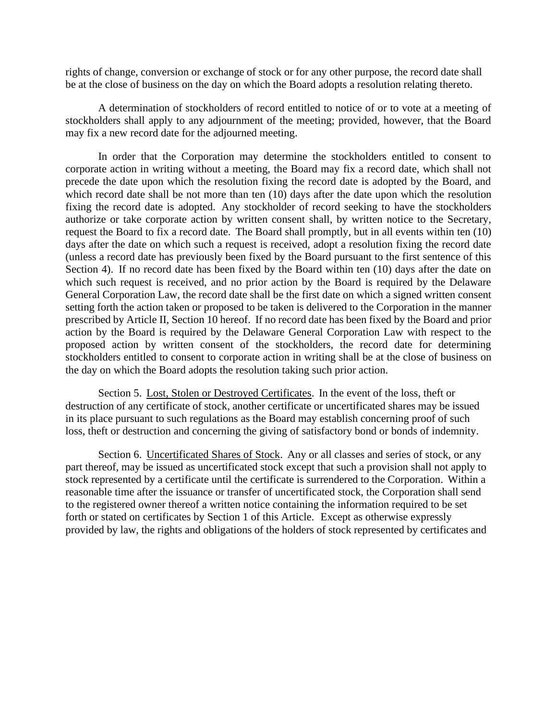rights of change, conversion or exchange of stock or for any other purpose, the record date shall be at the close of business on the day on which the Board adopts a resolution relating thereto.

A determination of stockholders of record entitled to notice of or to vote at a meeting of stockholders shall apply to any adjournment of the meeting; provided, however, that the Board may fix a new record date for the adjourned meeting.

In order that the Corporation may determine the stockholders entitled to consent to corporate action in writing without a meeting, the Board may fix a record date, which shall not precede the date upon which the resolution fixing the record date is adopted by the Board, and which record date shall be not more than ten (10) days after the date upon which the resolution fixing the record date is adopted. Any stockholder of record seeking to have the stockholders authorize or take corporate action by written consent shall, by written notice to the Secretary, request the Board to fix a record date. The Board shall promptly, but in all events within ten (10) days after the date on which such a request is received, adopt a resolution fixing the record date (unless a record date has previously been fixed by the Board pursuant to the first sentence of this Section 4). If no record date has been fixed by the Board within ten (10) days after the date on which such request is received, and no prior action by the Board is required by the Delaware General Corporation Law, the record date shall be the first date on which a signed written consent setting forth the action taken or proposed to be taken is delivered to the Corporation in the manner prescribed by Article II, Section 10 hereof. If no record date has been fixed by the Board and prior action by the Board is required by the Delaware General Corporation Law with respect to the proposed action by written consent of the stockholders, the record date for determining stockholders entitled to consent to corporate action in writing shall be at the close of business on the day on which the Board adopts the resolution taking such prior action.

Section 5. Lost, Stolen or Destroyed Certificates. In the event of the loss, theft or destruction of any certificate of stock, another certificate or uncertificated shares may be issued in its place pursuant to such regulations as the Board may establish concerning proof of such loss, theft or destruction and concerning the giving of satisfactory bond or bonds of indemnity.

Section 6. Uncertificated Shares of Stock. Any or all classes and series of stock, or any part thereof, may be issued as uncertificated stock except that such a provision shall not apply to stock represented by a certificate until the certificate is surrendered to the Corporation. Within a reasonable time after the issuance or transfer of uncertificated stock, the Corporation shall send to the registered owner thereof a written notice containing the information required to be set forth or stated on certificates by Section 1 of this Article. Except as otherwise expressly provided by law, the rights and obligations of the holders of stock represented by certificates and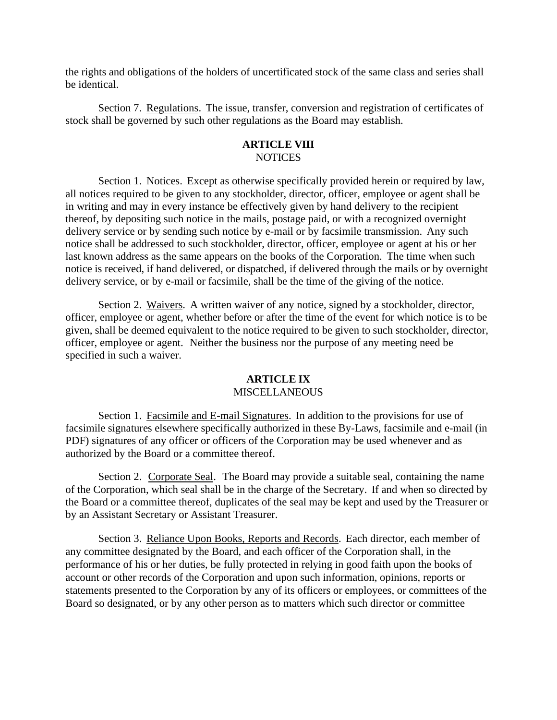the rights and obligations of the holders of uncertificated stock of the same class and series shall be identical.

Section 7. Regulations. The issue, transfer, conversion and registration of certificates of stock shall be governed by such other regulations as the Board may establish.

# **ARTICLE VIII**

## NOTICES

Section 1. Notices. Except as otherwise specifically provided herein or required by law, all notices required to be given to any stockholder, director, officer, employee or agent shall be in writing and may in every instance be effectively given by hand delivery to the recipient thereof, by depositing such notice in the mails, postage paid, or with a recognized overnight delivery service or by sending such notice by e-mail or by facsimile transmission. Any such notice shall be addressed to such stockholder, director, officer, employee or agent at his or her last known address as the same appears on the books of the Corporation. The time when such notice is received, if hand delivered, or dispatched, if delivered through the mails or by overnight delivery service, or by e-mail or facsimile, shall be the time of the giving of the notice.

Section 2. Waivers. A written waiver of any notice, signed by a stockholder, director, officer, employee or agent, whether before or after the time of the event for which notice is to be given, shall be deemed equivalent to the notice required to be given to such stockholder, director, officer, employee or agent. Neither the business nor the purpose of any meeting need be specified in such a waiver.

#### **ARTICLE IX**

### MISCELLANEOUS

Section 1. Facsimile and E-mail Signatures. In addition to the provisions for use of facsimile signatures elsewhere specifically authorized in these By-Laws, facsimile and e-mail (in PDF) signatures of any officer or officers of the Corporation may be used whenever and as authorized by the Board or a committee thereof.

Section 2. Corporate Seal. The Board may provide a suitable seal, containing the name of the Corporation, which seal shall be in the charge of the Secretary. If and when so directed by the Board or a committee thereof, duplicates of the seal may be kept and used by the Treasurer or by an Assistant Secretary or Assistant Treasurer.

Section 3. Reliance Upon Books, Reports and Records. Each director, each member of any committee designated by the Board, and each officer of the Corporation shall, in the performance of his or her duties, be fully protected in relying in good faith upon the books of account or other records of the Corporation and upon such information, opinions, reports or statements presented to the Corporation by any of its officers or employees, or committees of the Board so designated, or by any other person as to matters which such director or committee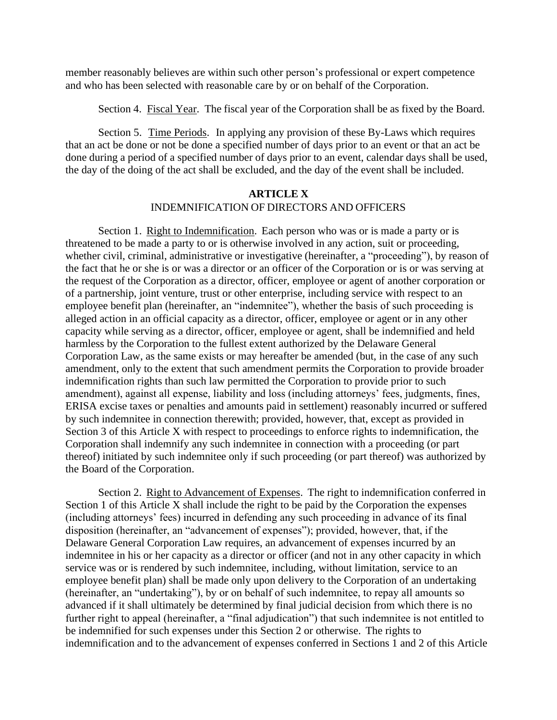member reasonably believes are within such other person's professional or expert competence and who has been selected with reasonable care by or on behalf of the Corporation.

Section 4. Fiscal Year. The fiscal year of the Corporation shall be as fixed by the Board.

Section 5. Time Periods. In applying any provision of these By-Laws which requires that an act be done or not be done a specified number of days prior to an event or that an act be done during a period of a specified number of days prior to an event, calendar days shall be used, the day of the doing of the act shall be excluded, and the day of the event shall be included.

## **ARTICLE X** INDEMNIFICATION OF DIRECTORS AND OFFICERS

Section 1. Right to Indemnification. Each person who was or is made a party or is threatened to be made a party to or is otherwise involved in any action, suit or proceeding, whether civil, criminal, administrative or investigative (hereinafter, a "proceeding"), by reason of the fact that he or she is or was a director or an officer of the Corporation or is or was serving at the request of the Corporation as a director, officer, employee or agent of another corporation or of a partnership, joint venture, trust or other enterprise, including service with respect to an employee benefit plan (hereinafter, an "indemnitee"), whether the basis of such proceeding is alleged action in an official capacity as a director, officer, employee or agent or in any other capacity while serving as a director, officer, employee or agent, shall be indemnified and held harmless by the Corporation to the fullest extent authorized by the Delaware General Corporation Law, as the same exists or may hereafter be amended (but, in the case of any such amendment, only to the extent that such amendment permits the Corporation to provide broader indemnification rights than such law permitted the Corporation to provide prior to such amendment), against all expense, liability and loss (including attorneys' fees, judgments, fines, ERISA excise taxes or penalties and amounts paid in settlement) reasonably incurred or suffered by such indemnitee in connection therewith; provided, however, that, except as provided in Section 3 of this Article X with respect to proceedings to enforce rights to indemnification, the Corporation shall indemnify any such indemnitee in connection with a proceeding (or part thereof) initiated by such indemnitee only if such proceeding (or part thereof) was authorized by the Board of the Corporation.

Section 2. Right to Advancement of Expenses. The right to indemnification conferred in Section 1 of this Article X shall include the right to be paid by the Corporation the expenses (including attorneys' fees) incurred in defending any such proceeding in advance of its final disposition (hereinafter, an "advancement of expenses"); provided, however, that, if the Delaware General Corporation Law requires, an advancement of expenses incurred by an indemnitee in his or her capacity as a director or officer (and not in any other capacity in which service was or is rendered by such indemnitee, including, without limitation, service to an employee benefit plan) shall be made only upon delivery to the Corporation of an undertaking (hereinafter, an "undertaking"), by or on behalf of such indemnitee, to repay all amounts so advanced if it shall ultimately be determined by final judicial decision from which there is no further right to appeal (hereinafter, a "final adjudication") that such indemnitee is not entitled to be indemnified for such expenses under this Section 2 or otherwise. The rights to indemnification and to the advancement of expenses conferred in Sections 1 and 2 of this Article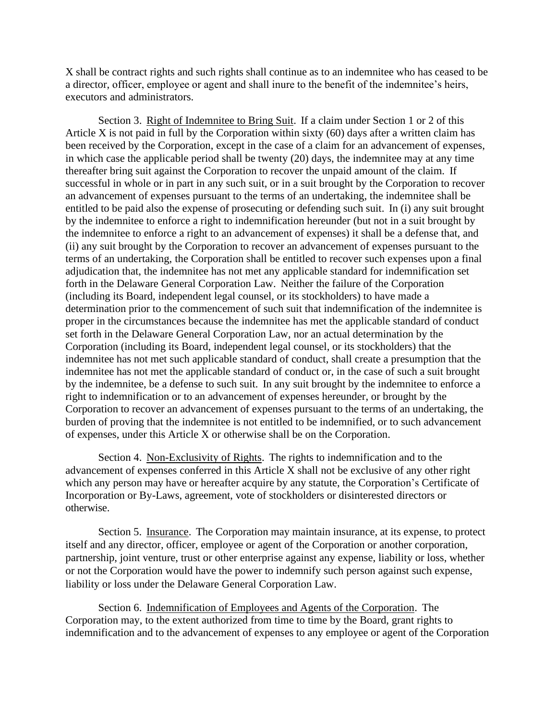X shall be contract rights and such rights shall continue as to an indemnitee who has ceased to be a director, officer, employee or agent and shall inure to the benefit of the indemnitee's heirs, executors and administrators.

Section 3. Right of Indemnitee to Bring Suit. If a claim under Section 1 or 2 of this Article X is not paid in full by the Corporation within sixty (60) days after a written claim has been received by the Corporation, except in the case of a claim for an advancement of expenses, in which case the applicable period shall be twenty (20) days, the indemnitee may at any time thereafter bring suit against the Corporation to recover the unpaid amount of the claim. If successful in whole or in part in any such suit, or in a suit brought by the Corporation to recover an advancement of expenses pursuant to the terms of an undertaking, the indemnitee shall be entitled to be paid also the expense of prosecuting or defending such suit. In (i) any suit brought by the indemnitee to enforce a right to indemnification hereunder (but not in a suit brought by the indemnitee to enforce a right to an advancement of expenses) it shall be a defense that, and (ii) any suit brought by the Corporation to recover an advancement of expenses pursuant to the terms of an undertaking, the Corporation shall be entitled to recover such expenses upon a final adjudication that, the indemnitee has not met any applicable standard for indemnification set forth in the Delaware General Corporation Law. Neither the failure of the Corporation (including its Board, independent legal counsel, or its stockholders) to have made a determination prior to the commencement of such suit that indemnification of the indemnitee is proper in the circumstances because the indemnitee has met the applicable standard of conduct set forth in the Delaware General Corporation Law, nor an actual determination by the Corporation (including its Board, independent legal counsel, or its stockholders) that the indemnitee has not met such applicable standard of conduct, shall create a presumption that the indemnitee has not met the applicable standard of conduct or, in the case of such a suit brought by the indemnitee, be a defense to such suit. In any suit brought by the indemnitee to enforce a right to indemnification or to an advancement of expenses hereunder, or brought by the Corporation to recover an advancement of expenses pursuant to the terms of an undertaking, the burden of proving that the indemnitee is not entitled to be indemnified, or to such advancement of expenses, under this Article X or otherwise shall be on the Corporation.

Section 4. Non-Exclusivity of Rights. The rights to indemnification and to the advancement of expenses conferred in this Article X shall not be exclusive of any other right which any person may have or hereafter acquire by any statute, the Corporation's Certificate of Incorporation or By-Laws, agreement, vote of stockholders or disinterested directors or otherwise.

Section 5. Insurance. The Corporation may maintain insurance, at its expense, to protect itself and any director, officer, employee or agent of the Corporation or another corporation, partnership, joint venture, trust or other enterprise against any expense, liability or loss, whether or not the Corporation would have the power to indemnify such person against such expense, liability or loss under the Delaware General Corporation Law.

Section 6. Indemnification of Employees and Agents of the Corporation. The Corporation may, to the extent authorized from time to time by the Board, grant rights to indemnification and to the advancement of expenses to any employee or agent of the Corporation